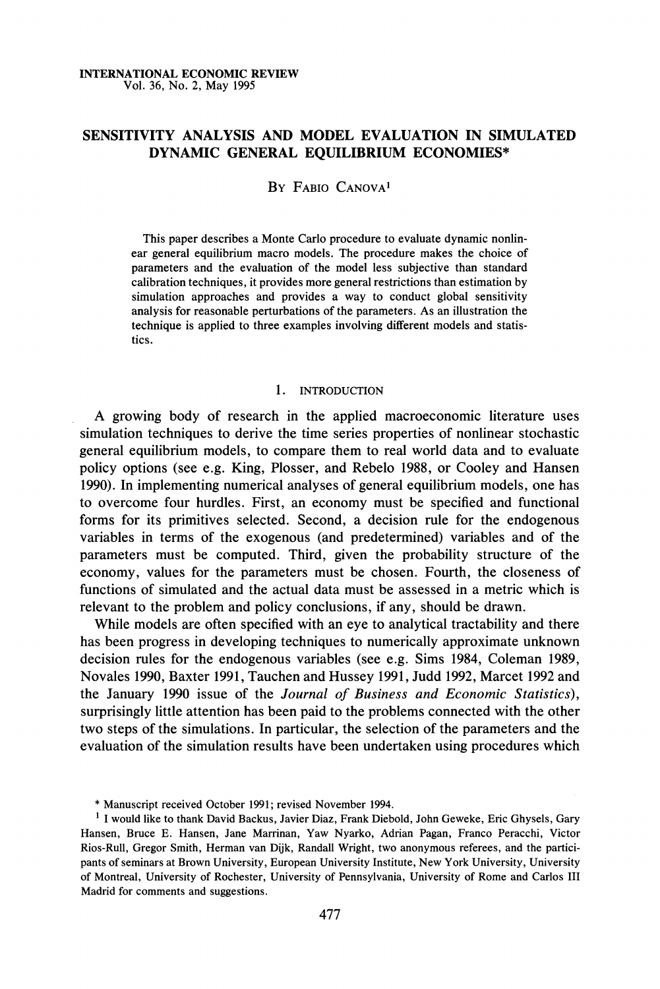# **SENSITIVITY ANALYSIS AND MODEL EVALUATION IN SIMULATED DYNAMIC GENERAL EQUILIBRIUM ECONOMIES\***

**BY FABIO CANOVAI** 

**This paper describes a Monte Carlo procedure to evaluate dynamic nonlinear general equilibrium macro models. The procedure makes the choice of parameters and the evaluation of the model less subjective than standard calibration techniques, it provides more general restrictions than estimation by simulation approaches and provides a way to conduct global sensitivity analysis for reasonable perturbations of the parameters. As an illustration the technique is applied to three examples involving different models and statistics.** 

### **1. INTRODUCTION**

**A growing body of research in the applied macroeconomic literature uses simulation techniques to derive the time series properties of nonlinear stochastic general equilibrium models, to compare them to real world data and to evaluate policy options (see e.g. King, Plosser, and Rebelo 1988, or Cooley and Hansen 1990). In implementing numerical analyses of general equilibrium models, one has to overcome four hurdles. First, an economy must be specified and functional forms for its primitives selected. Second, a decision rule for the endogenous variables in terms of the exogenous (and predetermined) variables and of the parameters must be computed. Third, given the probability structure of the economy, values for the parameters must be chosen. Fourth, the closeness of functions of simulated and the actual data must be assessed in a metric which is relevant to the problem and policy conclusions, if any, should be drawn.** 

**While models are often specified with an eye to analytical tractability and there has been progress in developing techniques to numerically approximate unknown decision rules for the endogenous variables (see e.g. Sims 1984, Coleman 1989, Novales 1990, Baxter 1991, Tauchen and Hussey 1991, Judd 1992, Marcet 1992 and the January 1990 issue of the Journal of Business and Economic Statistics), surprisingly little attention has been paid to the problems connected with the other two steps of the simulations. In particular, the selection of the parameters and the evaluation of the simulation results have been undertaken using procedures which** 

**\* Manuscript received October 1991; revised November 1994.** 

**lI would like to thank David Backus, Javier Diaz, Frank Diebold, John Geweke, Eric Ghysels, Gary Hansen, Bruce E. Hansen, Jane Marrinan, Yaw Nyarko, Adrian Pagan, Franco Peracchi, Victor Rios-Rull, Gregor Smith, Herman van Dijk, Randall Wright, two anonymous referees, and the participants of seminars at Brown University, European University Institute, New York University, University of Montreal, University of Rochester, University of Pennsylvania, University of Rome and Carlos III Madrid for comments and suggestions.**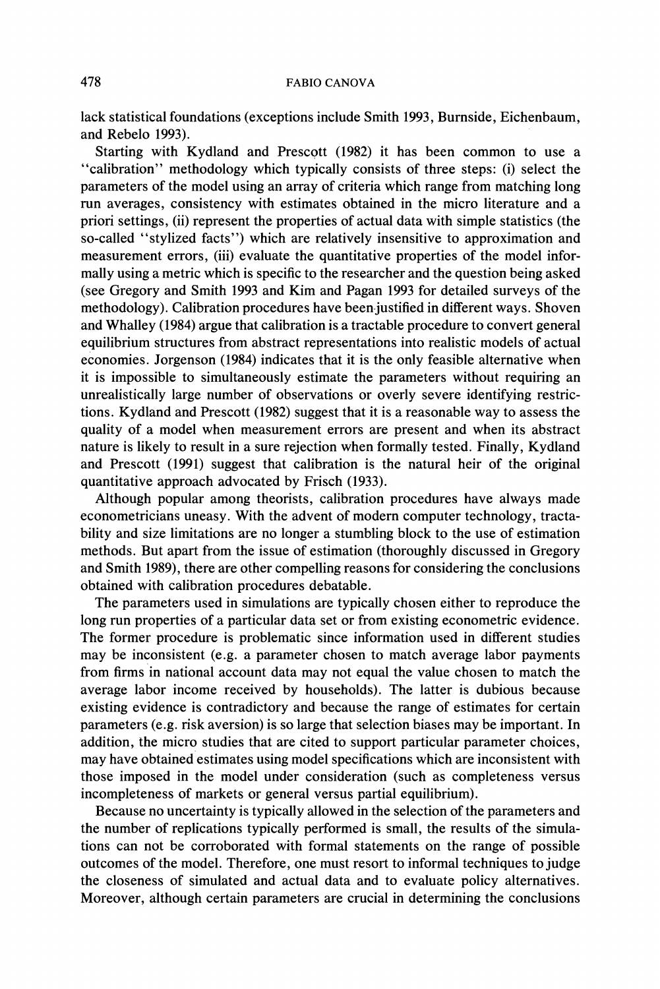**lack statistical foundations (exceptions include Smith 1993, Burnside, Eichenbaum, and Rebelo 1993).** 

**Starting with Kydland and Prescott (1982) it has been common to use a "calibration" methodology which typically consists of three steps: (i) select the parameters of the model using an array of criteria which range from matching long run averages, consistency with estimates obtained in the micro literature and a priori settings, (ii) represent the properties of actual data with simple statistics (the so-called "stylized facts") which are relatively insensitive to approximation and measurement errors, (iii) evaluate the quantitative properties of the model informally using a metric which is specific to the researcher and the question being asked (see Gregory and Smith 1993 and Kim and Pagan 1993 for detailed surveys of the methodology). Calibration procedures have beenjustified in different ways. Shoven and Whalley (1984) argue that calibration is a tractable procedure to convert general equilibrium structures from abstract representations into realistic models of actual economies. Jorgenson (1984) indicates that it is the only feasible alternative when it is impossible to simultaneously estimate the parameters without requiring an unrealistically large number of observations or overly severe identifying restrictions. Kydland and Prescott (1982) suggest that it is a reasonable way to assess the quality of a model when measurement errors are present and when its abstract nature is likely to result in a sure rejection when formally tested. Finally, Kydland and Prescott (1991) suggest that calibration is the natural heir of the original quantitative approach advocated by Frisch (1933).** 

**Although popular among theorists, calibration procedures have always made econometricians uneasy. With the advent of modern computer technology, tractability and size limitations are no longer a stumbling block to the use of estimation methods. But apart from the issue of estimation (thoroughly discussed in Gregory and Smith 1989), there are other compelling reasons for considering the conclusions obtained with calibration procedures debatable.** 

**The parameters used in simulations are typically chosen either to reproduce the long run properties of a particular data set or from existing econometric evidence. The former procedure is problematic since information used in different studies may be inconsistent (e.g. a parameter chosen to match average labor payments from firms in national account data may not equal the value chosen to match the average labor income received by households). The latter is dubious because existing evidence is contradictory and because the range of estimates for certain parameters (e.g. risk aversion) is so large that selection biases may be important. In addition, the micro studies that are cited to support particular parameter choices, may have obtained estimates using model specifications which are inconsistent with those imposed in the model under consideration (such as completeness versus incompleteness of markets or general versus partial equilibrium).** 

**Because no uncertainty is typically allowed in the selection of the parameters and the number of replications typically performed is small, the results of the simulations can not be corroborated with formal statements on the range of possible outcomes of the model. Therefore, one must resort to informal techniques to judge the closeness of simulated and actual data and to evaluate policy alternatives. Moreover, although certain parameters are crucial in determining the conclusions**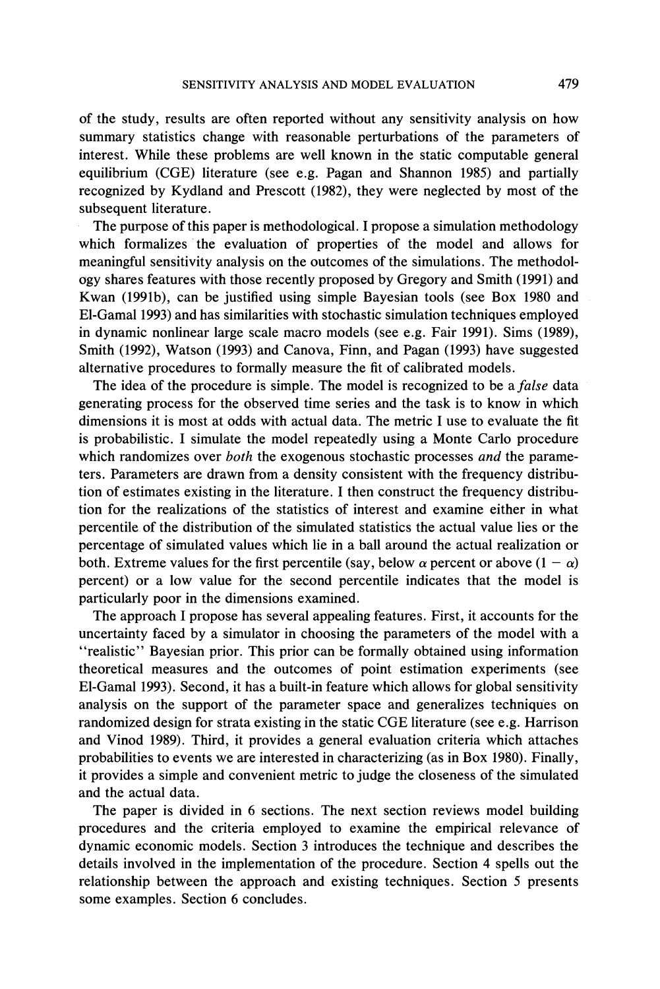**of the study, results are often reported without any sensitivity analysis on how summary statistics change with reasonable perturbations of the parameters of interest. While these problems are well known in the static computable general equilibrium (CGE) literature (see e.g. Pagan and Shannon 1985) and partially recognized by Kydland and Prescott (1982), they were neglected by most of the subsequent literature.** 

**The purpose of this paper is methodological. I propose a simulation methodology which formalizes the evaluation of properties of the model and allows for meaningful sensitivity analysis on the outcomes of the simulations. The methodology shares features with those recently proposed by Gregory and Smith (1991) and Kwan (1991b), can be justified using simple Bayesian tools (see Box 1980 and El-Gamal 1993) and has similarities with stochastic simulation techniques employed in dynamic nonlinear large scale macro models (see e.g. Fair 1991). Sims (1989), Smith (1992), Watson (1993) and Canova, Finn, and Pagan (1993) have suggested alternative procedures to formally measure the fit of calibrated models.** 

The idea of the procedure is simple. The model is recognized to be a *false* data **generating process for the observed time series and the task is to know in which dimensions it is most at odds with actual data. The metric I use to evaluate the fit is probabilistic. I simulate the model repeatedly using a Monte Carlo procedure which randomizes over both the exogenous stochastic processes and the parameters. Parameters are drawn from a density consistent with the frequency distribution of estimates existing in the literature. I then construct the frequency distribution for the realizations of the statistics of interest and examine either in what percentile of the distribution of the simulated statistics the actual value lies or the percentage of simulated values which lie in a ball around the actual realization or**  both. Extreme values for the first percentile (say, below  $\alpha$  percent or above  $(1 - \alpha)$ ) **percent) or a low value for the second percentile indicates that the model is particularly poor in the dimensions examined.** 

**The approach I propose has several appealing features. First, it accounts for the uncertainty faced by a simulator in choosing the parameters of the model with a "realistic" Bayesian prior. This prior can be formally obtained using information theoretical measures and the outcomes of point estimation experiments (see El-Gamal 1993). Second, it has a built-in feature which allows for global sensitivity analysis on the support of the parameter space and generalizes techniques on randomized design for strata existing in the static CGE literature (see e.g. Harrison and Vinod 1989). Third, it provides a general evaluation criteria which attaches probabilities to events we are interested in characterizing (as in Box 1980). Finally, it provides a simple and convenient metric to judge the closeness of the simulated and the actual data.** 

**The paper is divided in 6 sections. The next section reviews model building procedures and the criteria employed to examine the empirical relevance of dynamic economic models. Section 3 introduces the technique and describes the details involved in the implementation of the procedure. Section 4 spells out the relationship between the approach and existing techniques. Section 5 presents some examples. Section 6 concludes.**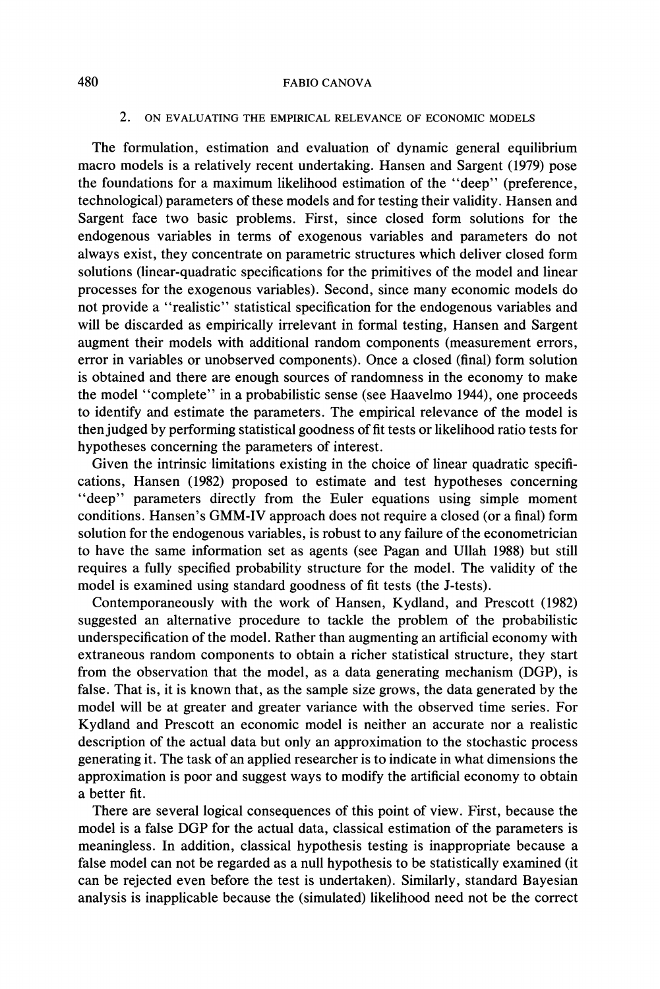#### **2. ON EVALUATING THE EMPIRICAL RELEVANCE OF ECONOMIC MODELS**

**The formulation, estimation and evaluation of dynamic general equilibrium macro models is a relatively recent undertaking. Hansen and Sargent (1979) pose the foundations for a maximum likelihood estimation of the "deep" (preference, technological) parameters of these models and for testing their validity. Hansen and Sargent face two basic problems. First, since closed form solutions for the endogenous variables in terms of exogenous variables and parameters do not always exist, they concentrate on parametric structures which deliver closed form solutions (linear-quadratic specifications for the primitives of the model and linear processes for the exogenous variables). Second, since many economic models do not provide a "realistic" statistical specification for the endogenous variables and will be discarded as empirically irrelevant in formal testing, Hansen and Sargent augment their models with additional random components (measurement errors, error in variables or unobserved components). Once a closed (final) form solution is obtained and there are enough sources of randomness in the economy to make the model "complete" in a probabilistic sense (see Haavelmo 1944), one proceeds to identify and estimate the parameters. The empirical relevance of the model is then judged by performing statistical goodness of fit tests or likelihood ratio tests for hypotheses concerning the parameters of interest.** 

**Given the intrinsic limitations existing in the choice of linear quadratic specifications, Hansen (1982) proposed to estimate and test hypotheses concerning "deep" parameters directly from the Euler equations using simple moment conditions. Hansen's GMM-IV approach does not require a closed (or a final) form solution for the endogenous variables, is robust to any failure of the econometrician to have the same information set as agents (see Pagan and Ullah 1988) but still requires a fully specified probability structure for the model. The validity of the model is examined using standard goodness of fit tests (the J-tests).** 

**Contemporaneously with the work of Hansen, Kydland, and Prescott (1982) suggested an alternative procedure to tackle the problem of the probabilistic underspecification of the model. Rather than augmenting an artificial economy with extraneous random components to obtain a richer statistical structure, they start from the observation that the model, as a data generating mechanism (DGP), is false. That is, it is known that, as the sample size grows, the data generated by the model will be at greater and greater variance with the observed time series. For Kydland and Prescott an economic model is neither an accurate nor a realistic description of the actual data but only an approximation to the stochastic process generating it. The task of an applied researcher is to indicate in what dimensions the approximation is poor and suggest ways to modify the artificial economy to obtain a better fit.** 

**There are several logical consequences of this point of view. First, because the model is a false DGP for the actual data, classical estimation of the parameters is meaningless. In addition, classical hypothesis testing is inappropriate because a false model can not be regarded as a null hypothesis to be statistically examined (it can be rejected even before the test is undertaken). Similarly, standard Bayesian analysis is inapplicable because the (simulated) likelihood need not be the correct**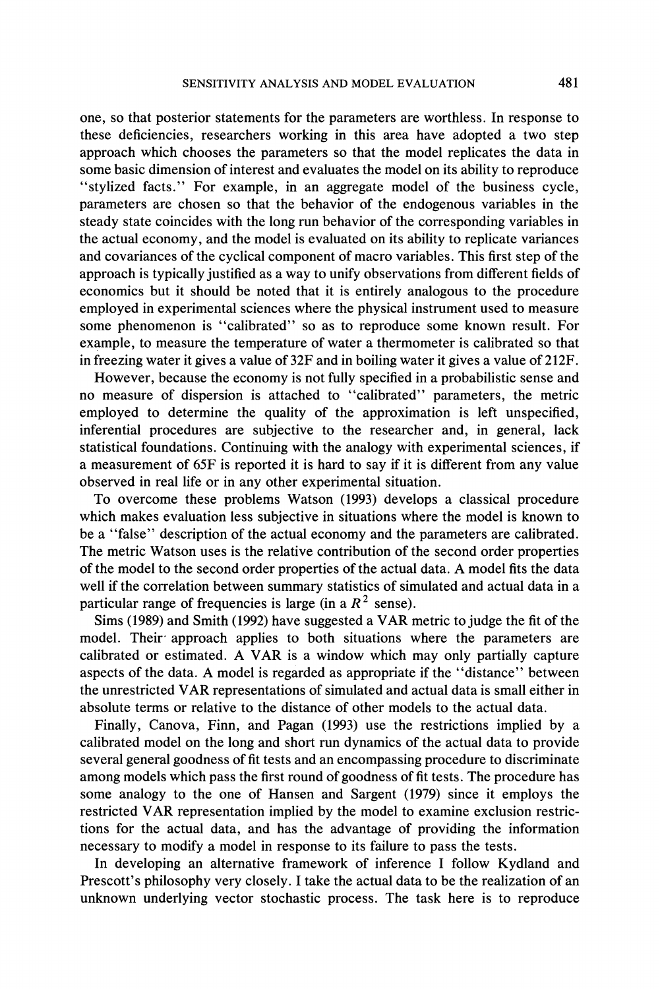**one, so that posterior statements for the parameters are worthless. In response to these deficiencies, researchers working in this area have adopted a two step approach which chooses the parameters so that the model replicates the data in some basic dimension of interest and evaluates the model on its ability to reproduce "stylized facts." For example, in an aggregate model of the business cycle, parameters are chosen so that the behavior of the endogenous variables in the steady state coincides with the long run behavior of the corresponding variables in the actual economy, and the model is evaluated on its ability to replicate variances and covariances of the cyclical component of macro variables. This first step of the approach is typically justified as a way to unify observations from different fields of economics but it should be noted that it is entirely analogous to the procedure employed in experimental sciences where the physical instrument used to measure some phenomenon is "calibrated" so as to reproduce some known result. For example, to measure the temperature of water a thermometer is calibrated so that in freezing water it gives a value of 32F and in boiling water it gives a value of 212F.** 

**However, because the economy is not fully specified in a probabilistic sense and no measure of dispersion is attached to "calibrated" parameters, the metric employed to determine the quality of the approximation is left unspecified, inferential procedures are subjective to the researcher and, in general, lack statistical foundations. Continuing with the analogy with experimental sciences, if a measurement of 65F is reported it is hard to say if it is different from any value observed in real life or in any other experimental situation.** 

**To overcome these problems Watson (1993) develops a classical procedure which makes evaluation less subjective in situations where the model is known to be a "false" description of the actual economy and the parameters are calibrated. The metric Watson uses is the relative contribution of the second order properties of the model to the second order properties of the actual data. A model fits the data well if the correlation between summary statistics of simulated and actual data in a**  particular range of frequencies is large (in a  $R^2$  sense).

**Sims (1989) and Smith (1992) have suggested a VAR metric to judge the fit of the model. Their approach applies to both situations where the parameters are calibrated or estimated. A VAR is a window which may only partially capture aspects of the data. A model is regarded as appropriate if the "distance" between the unrestricted VAR representations of simulated and actual data is small either in absolute terms or relative to the distance of other models to the actual data.** 

**Finally, Canova, Finn, and Pagan (1993) use the restrictions implied by a calibrated model on the long and short run dynamics of the actual data to provide several general goodness of fit tests and an encompassing procedure to discriminate among models which pass the first round of goodness of fit tests. The procedure has some analogy to the one of Hansen and Sargent (1979) since it employs the restricted VAR representation implied by the model to examine exclusion restrictions for the actual data, and has the advantage of providing the information necessary to modify a model in response to its failure to pass the tests.** 

**In developing an alternative framework of inference I follow Kydland and Prescott's philosophy very closely. I take the actual data to be the realization of an unknown underlying vector stochastic process. The task here is to reproduce**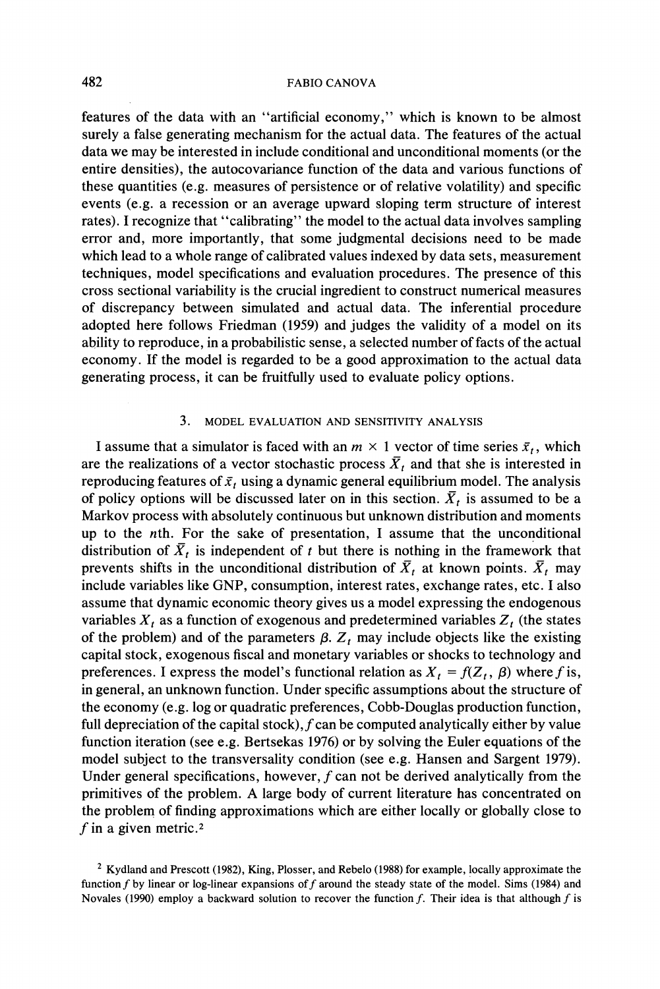**features of the data with an "artificial economy," which is known to be almost surely a false generating mechanism for the actual data. The features of the actual data we may be interested in include conditional and unconditional moments (or the entire densities), the autocovariance function of the data and various functions of these quantities (e.g. measures of persistence or of relative volatility) and specific events (e.g. a recession or an average upward sloping term structure of interest rates). I recognize that "calibrating" the model to the actual data involves sampling error and, more importantly, that some judgmental decisions need to be made which lead to a whole range of calibrated values indexed by data sets, measurement techniques, model specifications and evaluation procedures. The presence of this cross sectional variability is the crucial ingredient to construct numerical measures of discrepancy between simulated and actual data. The inferential procedure adopted here follows Friedman (1959) and judges the validity of a model on its ability to reproduce, in a probabilistic sense, a selected number of facts of the actual economy. If the model is regarded to be a good approximation to the actual data generating process, it can be fruitfully used to evaluate policy options.** 

#### **3. MODEL EVALUATION AND SENSITIVITY ANALYSIS**

**I** assume that a simulator is faced with an  $m \times 1$  vector of time series  $\bar{x}_t$ , which are the realizations of a vector stochastic process  $\bar{X}_t$  and that she is interested in reproducing features of  $\bar{x}_t$  using a dynamic general equilibrium model. The analysis of policy options will be discussed later on in this section.  $\bar{X}_t$  is assumed to be a **Markov process with absolutely continuous but unknown distribution and moments up to the nth. For the sake of presentation, I assume that the unconditional**  distribution of  $\bar{X}_t$  is independent of t but there is nothing in the framework that prevents shifts in the unconditional distribution of  $\bar{X}_t$  at known points.  $\bar{X}_t$  may **include variables like GNP, consumption, interest rates, exchange rates, etc. I also assume that dynamic economic theory gives us a model expressing the endogenous**  variables  $X_t$  as a function of exogenous and predetermined variables  $Z_t$  (the states of the problem) and of the parameters  $\beta$ .  $Z_t$  may include objects like the existing **capital stock, exogenous fiscal and monetary variables or shocks to technology and preferences.** I express the model's functional relation as  $X_t = f(Z_t, \beta)$  where f is, **in general, an unknown function. Under specific assumptions about the structure of the economy (e.g. log or quadratic preferences, Cobb-Douglas production function,**  full depreciation of the capital stock), f can be computed analytically either by value **function iteration (see e.g. Bertsekas 1976) or by solving the Euler equations of the model subject to the transversality condition (see e.g. Hansen and Sargent 1979).**  Under general specifications, however,  $f$  can not be derived analytically from the **primitives of the problem. A large body of current literature has concentrated on the problem of finding approximations which are either locally or globally close to f in a given metric.2** 

**<sup>2</sup>Kydland and Prescott (1982), King, Plosser, and Rebelo (1988) for example, locally approximate the**  function f by linear or log-linear expansions of f around the steady state of the model. Sims (1984) and **Novales (1990) employ a backward solution to recover the function f. Their idea is that although f is**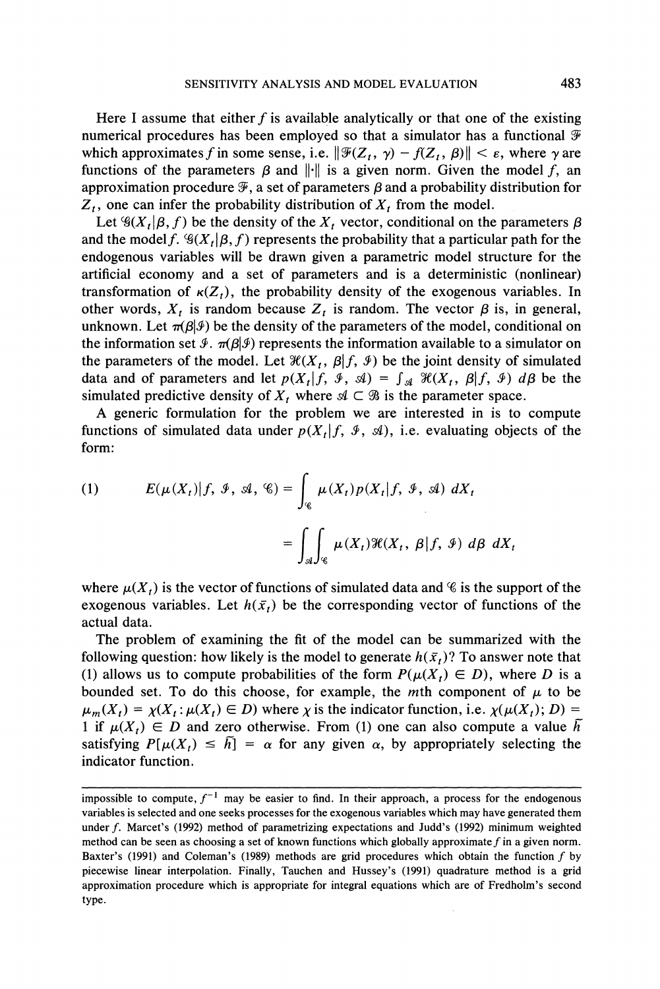Here I assume that either  $f$  is available analytically or that one of the existing numerical procedures has been employed so that a simulator has a functional  $\mathcal F$ which approximates f in some sense, i.e.  $\|\mathcal{F}(Z_t, \gamma) - f(Z_t, \beta)\| < \varepsilon$ , where  $\gamma$  are **functions of the parameters**  $\beta$  **and**  $\|\cdot\|$  **is a given norm. Given the model f, an** approximation procedure  $\mathcal{F}$ , a set of parameters  $\beta$  and a probability distribution for  $Z_t$ , one can infer the probability distribution of  $X_t$  from the model.

Let  $\mathscr{L}_t$   $\beta$ , *f*) be the density of the  $X_t$  vector, conditional on the parameters  $\beta$ and the model f.  $\mathcal{G}(X_t|\beta, f)$  represents the probability that a particular path for the **endogenous variables will be drawn given a parametric model structure for the artificial economy and a set of parameters and is a deterministic (nonlinear)**  transformation of  $\kappa(Z_t)$ , the probability density of the exogenous variables. In other words,  $X_t$  is random because  $Z_t$  is random. The vector  $\beta$  is, in general, unknown. Let  $\pi(\beta|\mathcal{I})$  be the density of the parameters of the model, conditional on the information set  $\mathcal{F}$ .  $\pi(\beta|\mathcal{F})$  represents the information available to a simulator on the parameters of the model. Let  $\mathcal{H}(X_t, \beta | f, \varnothing)$  be the joint density of simulated **data and of parameters and let**  $p(X_t|f, \vartheta, \vartheta) = \int_{\mathcal{A}} \mathcal{H}(X_t, \vartheta | f, \vartheta) d\beta$  **be the simulated predictive density of**  $X_t$  **where**  $A \subset \mathcal{B}$  **is the parameter space.** 

**A generic formulation for the problem we are interested in is to compute**  functions of simulated data under  $p(X_t|f, \mathcal{I}, \mathcal{A})$ , i.e. evaluating objects of the **form:** 

(1) 
$$
E(\mu(X_t)|f, \mathcal{F}, \mathcal{A}, \mathcal{C}) = \int_{\mathcal{C}} \mu(X_t) p(X_t|f, \mathcal{F}, \mathcal{A}) dX_t
$$

$$
= \int_{\mathcal{A}} \int_{\mathcal{C}} \mu(X_t) \mathcal{H}(X_t, \beta|f, \mathcal{F}) d\beta dX_t
$$

where  $\mu(X_t)$  is the vector of functions of simulated data and  $\mathscr$  is the support of the exogenous variables. Let  $h(\bar{x}_t)$  be the corresponding vector of functions of the **actual data.** 

**The problem of examining the fit of the model can be summarized with the**  following question: how likely is the model to generate  $h(\bar{x}_t)$ ? To answer note that (1) allows us to compute probabilities of the form  $P(\mu(X_t) \in D)$ , where D is a bounded set. To do this choose, for example, the *mth* component of  $\mu$  to be  $\mu_m(X_t) = \chi(X_t: \mu(X_t) \in D)$  where  $\chi$  is the indicator function, i.e.  $\chi(\mu(X_t); D) =$ 1 if  $\mu(X_t) \in D$  and zero otherwise. From (1) one can also compute a value  $\overline{h}$ satisfying  $P[\mu(X_t) \leq \overline{h}] = \alpha$  for any given  $\alpha$ , by appropriately selecting the **indicator function.** 

impossible to compute,  $f^{-1}$  may be easier to find. In their approach, a process for the endogenous **variables is selected and one seeks processes for the exogenous variables which may have generated them under f. Marcet's (1992) method of parametrizing expectations and Judd's (1992) minimum weighted**  method can be seen as choosing a set of known functions which globally approximate f in a given norm. **Baxter's (1991) and Coleman's (1989) methods are grid procedures which obtain the function f by piecewise linear interpolation. Finally, Tauchen and Hussey's (1991) quadrature method is a grid approximation procedure which is appropriate for integral equations which are of Fredholm's second type.**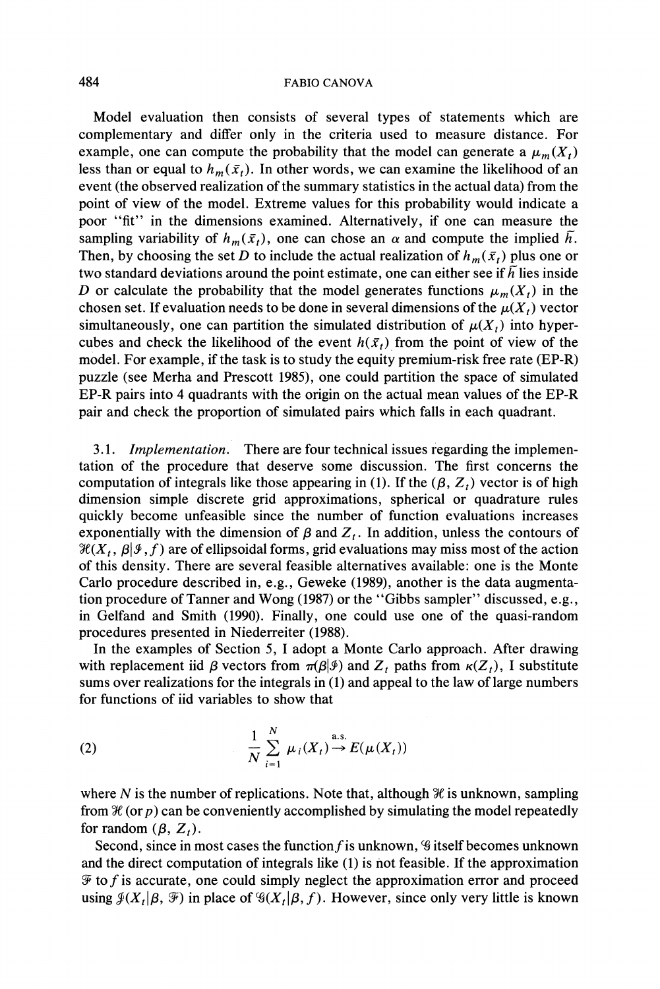**Model evaluation then consists of several types of statements which are complementary and differ only in the criteria used to measure distance. For**  example, one can compute the probability that the model can generate a  $\mu_m(X_t)$ less than or equal to  $h_m(\bar{x}_t)$ . In other words, we can examine the likelihood of an **event (the observed realization of the summary statistics in the actual data) from the point of view of the model. Extreme values for this probability would indicate a poor "fit" in the dimensions examined. Alternatively, if one can measure the**  sampling variability of  $h_m(\bar{x}_t)$ , one can chose an  $\alpha$  and compute the implied  $\bar{h}$ . Then, by choosing the set D to include the actual realization of  $h_m(\bar{x}_t)$  plus one or two standard deviations around the point estimate, one can either see if  $\tilde{h}$  lies inside D or calculate the probability that the model generates functions  $\mu_m(X_t)$  in the chosen set. If evaluation needs to be done in several dimensions of the  $\mu(X_t)$  vector simultaneously, one can partition the simulated distribution of  $\mu(X_t)$  into hypercubes and check the likelihood of the event  $h(\bar{x}_t)$  from the point of view of the **model. For example, if the task is to study the equity premium-risk free rate (EP-R) puzzle (see Merha and Prescott 1985), one could partition the space of simulated EP-R pairs into 4 quadrants with the origin on the actual mean values of the EP-R pair and check the proportion of simulated pairs which falls in each quadrant.** 

**3.1. Implementation. There are four technical issues regarding the implementation of the procedure that deserve some discussion. The first concerns the**  computation of integrals like those appearing in (1). If the  $(\beta, Z_t)$  vector is of high **dimension simple discrete grid approximations, spherical or quadrature rules quickly become unfeasible since the number of function evaluations increases**  exponentially with the dimension of  $\beta$  and  $Z_t$ . In addition, unless the contours of  $\mathcal{H}(X_t, \beta | \mathcal{F}, f)$  are of ellipsoidal forms, grid evaluations may miss most of the action **of this density. There are several feasible alternatives available: one is the Monte Carlo procedure described in, e.g., Geweke (1989), another is the data augmentation procedure of Tanner and Wong (1987) or the "Gibbs sampler" discussed, e.g., in Gelfand and Smith (1990). Finally, one could use one of the quasi-random procedures presented in Niederreiter (1988).** 

**In the examples of Section 5, I adopt a Monte Carlo approach. After drawing**  with replacement iid  $\beta$  vectors from  $\pi(\beta|\beta)$  and  $Z_t$  paths from  $\kappa(Z_t)$ , I substitute **sums over realizations for the integrals in (1) and appeal to the law of large numbers for functions of iid variables to show that** 

(2) 
$$
\frac{1}{N} \sum_{i=1}^{N} \mu_i(X_t) \stackrel{\text{a.s.}}{\rightarrow} E(\mu(X_t))
$$

where N is the number of replications. Note that, although  $\mathcal X$  is unknown, sampling from  $\mathcal{H}$  (or  $p$ ) can be conveniently accomplished by simulating the model repeatedly for random  $(\beta, Z_t)$ .

Second, since in most cases the function f is unknown,  $\mathcal{G}$  itself becomes unknown **and the direct computation of integrals like (1) is not feasible. If the approximation i; to f is accurate, one could simply neglect the approximation error and proceed**  using  $\mathcal{J}(X_t | \beta, \mathcal{F})$  in place of  $\mathcal{G}(X_t | \beta, f)$ . However, since only very little is known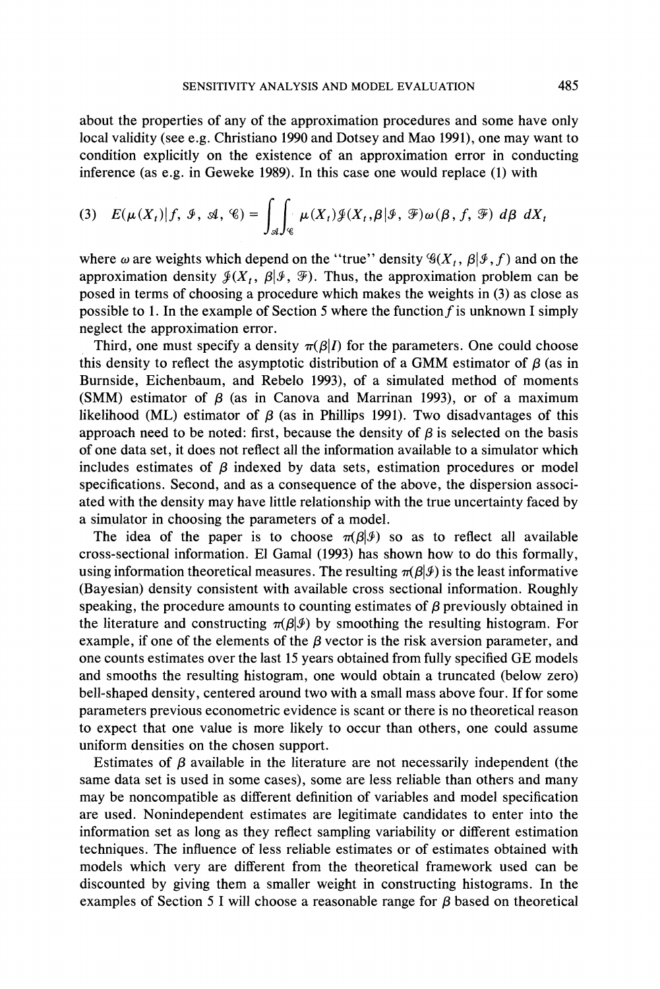**about the properties of any of the approximation procedures and some have only local validity (see e.g. Christiano 1990 and Dotsey and Mao 1991), one may want to condition explicitly on the existence of an approximation error in conducting inference (as e.g. in Geweke 1989). In this case one would replace (1) with** 

(3) 
$$
E(\mu(X_t)|f, \mathcal{I}, \mathcal{A}, \mathcal{C}) = \iint_{\mathcal{A}} \mu(X_t) \mathcal{J}(X_t, \beta | \mathcal{I}, \mathcal{F}) \omega(\beta, f, \mathcal{F}) d\beta dX_t
$$

where  $\omega$  are weights which depend on the "true" density  $\mathscr{L}(X_t, \beta | \mathscr{F}, f)$  and on the approximation density  $\oint (X_t, \beta | \mathcal{F}, \mathcal{F})$ . Thus, the approximation problem can be **posed in terms of choosing a procedure which makes the weights in (3) as close as**  possible to 1. In the example of Section 5 where the function  $f$  is unknown I simply **neglect the approximation error.** 

Third, one must specify a density  $\pi(\beta|I)$  for the parameters. One could choose this density to reflect the asymptotic distribution of a GMM estimator of  $\beta$  (as in **Burnside, Eichenbaum, and Rebelo 1993), of a simulated method of moments (SMM)** estimator of  $\beta$  (as in Canova and Marrinan 1993), or of a maximum likelihood (ML) estimator of  $\beta$  (as in Phillips 1991). Two disadvantages of this approach need to be noted: first, because the density of  $\beta$  is selected on the basis **of one data set, it does not reflect all the information available to a simulator which**  includes estimates of  $\beta$  indexed by data sets, estimation procedures or model **specifications. Second, and as a consequence of the above, the dispersion associated with the density may have little relationship with the true uncertainty faced by a simulator in choosing the parameters of a model.** 

The idea of the paper is to choose  $\pi(\beta|\mathcal{I})$  so as to reflect all available **cross-sectional information. El Gamal (1993) has shown how to do this formally, using information theoretical measures. The resulting**  $\pi(\beta|\vartheta)$  **is the least informative (Bayesian) density consistent with available cross sectional information. Roughly**  speaking, the procedure amounts to counting estimates of  $\beta$  previously obtained in the literature and constructing  $\pi(\beta|\mathcal{I})$  by smoothing the resulting histogram. For **example, if one of the elements of the**  $\beta$  **vector is the risk aversion parameter, and one counts estimates over the last 15 years obtained from fully specified GE models and smooths the resulting histogram, one would obtain a truncated (below zero) bell-shaped density, centered around two with a small mass above four. If for some parameters previous econometric evidence is scant or there is no theoretical reason to expect that one value is more likely to occur than others, one could assume uniform densities on the chosen support.** 

Estimates of  $\beta$  available in the literature are not necessarily independent (the **same data set is used in some cases), some are less reliable than others and many may be noncompatible as different definition of variables and model specification are used. Nonindependent estimates are legitimate candidates to enter into the information set as long as they reflect sampling variability or different estimation techniques. The influence of less reliable estimates or of estimates obtained with models which very are different from the theoretical framework used can be discounted by giving them a smaller weight in constructing histograms. In the**  examples of Section 5 I will choose a reasonable range for  $\beta$  based on theoretical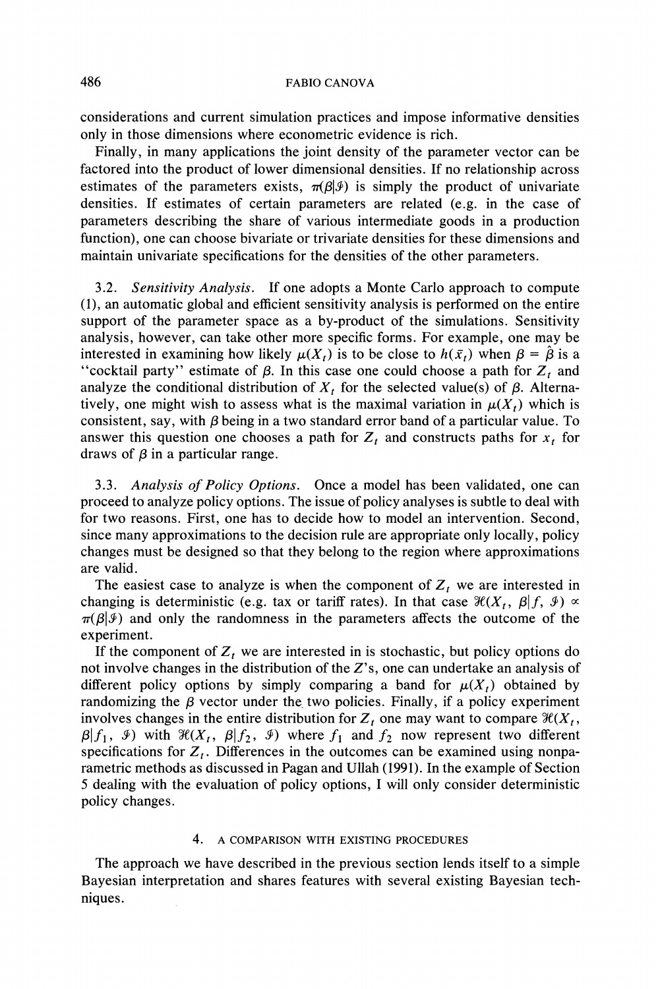**considerations and current simulation practices and impose informative densities only in those dimensions where econometric evidence is rich.** 

**Finally, in many applications the joint density of the parameter vector can be factored into the product of lower dimensional densities. If no relationship across**  estimates of the parameters exists,  $\pi(\beta|\vartheta)$  is simply the product of univariate **densities. If estimates of certain parameters are related (e.g. in the case of parameters describing the share of various intermediate goods in a production function), one can choose bivariate or trivariate densities for these dimensions and maintain univariate specifications for the densities of the other parameters.** 

**3.2. Sensitivity Analysis. If one adopts a Monte Carlo approach to compute (1), an automatic global and efficient sensitivity analysis is performed on the entire support of the parameter space as a by-product of the simulations. Sensitivity analysis, however, can take other more specific forms. For example, one may be**  interested in examining how likely  $\mu(X_t)$  is to be close to  $h(\bar{x}_t)$  when  $\beta = \hat{\beta}$  is a "cocktail party" estimate of  $\beta$ . In this case one could choose a path for  $Z_t$  and analyze the conditional distribution of  $X_t$  for the selected value(s) of  $\beta$ . Alternatively, one might wish to assess what is the maximal variation in  $\mu(X_t)$  which is consistent, say, with  $\beta$  being in a two standard error band of a particular value. To answer this question one chooses a path for  $Z_t$  and constructs paths for  $x_t$  for draws of  $\beta$  in a particular range.

**3.3. Analysis of Policy Options. Once a model has been validated, one can proceed to analyze policy options. The issue of policy analyses is subtle to deal with for two reasons. First, one has to decide how to model an intervention. Second, since many approximations to the decision rule are appropriate only locally, policy changes must be designed so that they belong to the region where approximations are valid.** 

The easiest case to analyze is when the component of  $Z_t$  we are interested in changing is deterministic (e.g. tax or tariff rates). In that case  $\mathcal{X}(X_t, \beta | f, \varnothing) \propto$  $\pi(\beta|\vartheta)$  and only the randomness in the parameters affects the outcome of the **experiment.** 

If the component of  $Z_t$  we are interested in is stochastic, but policy options do **not involve changes in the distribution of the Z's, one can undertake an analysis of**  different policy options by simply comparing a band for  $\mu(X_t)$  obtained by randomizing the  $\beta$  vector under the two policies. Finally, if a policy experiment involves changes in the entire distribution for  $Z_t$  one may want to compare  $\mathcal{H}(X_t)$ ,  $\beta | f_1, \varnothing$  with  $\mathcal{H}(X_t, \beta | f_2, \varnothing)$  where  $f_1$  and  $f_2$  now represent two different specifications for  $Z_t$ . Differences in the outcomes can be examined using nonpa**rametric methods as discussed in Pagan and Ullah (1991). In the example of Section 5 dealing with the evaluation of policy options, I will only consider deterministic policy changes.** 

#### **4. A COMPARISON WITH EXISTING PROCEDURES**

**The approach we have described in the previous section lends itself to a simple Bayesian interpretation and shares features with several existing Bayesian techniques.**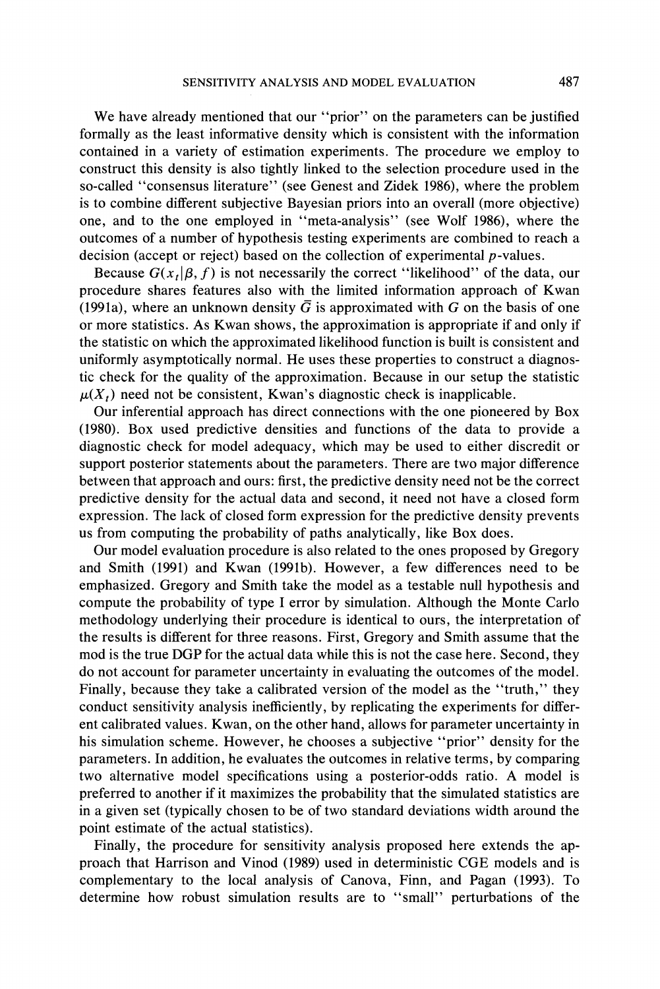**We have already mentioned that our "prior" on the parameters can be justified formally as the least informative density which is consistent with the information contained in a variety of estimation experiments. The procedure we employ to construct this density is also tightly linked to the selection procedure used in the so-called "consensus literature" (see Genest and Zidek 1986), where the problem is to combine different subjective Bayesian priors into an overall (more objective) one, and to the one employed in "meta-analysis" (see Wolf 1986), where the outcomes of a number of hypothesis testing experiments are combined to reach a decision (accept or reject) based on the collection of experimental p-values.** 

Because  $G(x_t|\beta, f)$  is not necessarily the correct "likelihood" of the data, our **procedure shares features also with the limited information approach of Kwan (1991a), where an unknown density G is approximated with G on the basis of one or more statistics. As Kwan shows, the approximation is appropriate if and only if the statistic on which the approximated likelihood function is built is consistent and uniformly asymptotically normal. He uses these properties to construct a diagnostic check for the quality of the approximation. Because in our setup the statistic**   $\mu(X_t)$  need not be consistent, Kwan's diagnostic check is inapplicable.

**Our inferential approach has direct connections with the one pioneered by Box (1980). Box used predictive densities and functions of the data to provide a diagnostic check for model adequacy, which may be used to either discredit or support posterior statements about the parameters. There are two major difference between that approach and ours: first, the predictive density need not be the correct predictive density for the actual data and second, it need not have a closed form expression. The lack of closed form expression for the predictive density prevents us from computing the probability of paths analytically, like Box does.** 

**Our model evaluation procedure is also related to the ones proposed by Gregory and Smith (1991) and Kwan (1991b). However, a few differences need to be emphasized. Gregory and Smith take the model as a testable null hypothesis and compute the probability of type I error by simulation. Although the Monte Carlo methodology underlying their procedure is identical to ours, the interpretation of the results is different for three reasons. First, Gregory and Smith assume that the mod is the true DGP for the actual data while this is not the case here. Second, they do not account for parameter uncertainty in evaluating the outcomes of the model. Finally, because they take a calibrated version of the model as the "truth," they conduct sensitivity analysis inefficiently, by replicating the experiments for different calibrated values. Kwan, on the other hand, allows for parameter uncertainty in his simulation scheme. However, he chooses a subjective "prior" density for the parameters. In addition, he evaluates the outcomes in relative terms, by comparing two alternative model specifications using a posterior-odds ratio. A model is preferred to another if it maximizes the probability that the simulated statistics are in a given set (typically chosen to be of two standard deviations width around the point estimate of the actual statistics).** 

**Finally, the procedure for sensitivity analysis proposed here extends the approach that Harrison and Vinod (1989) used in deterministic CGE models and is complementary to the local analysis of Canova, Finn, and Pagan (1993). To determine how robust simulation results are to "small" perturbations of the**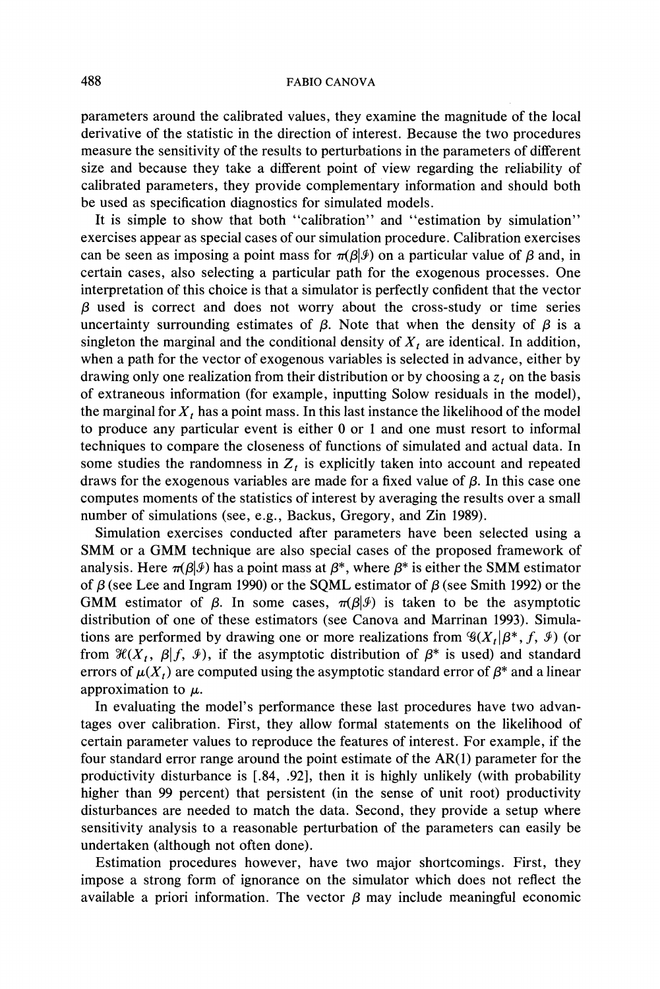**parameters around the calibrated values, they examine the magnitude of the local derivative of the statistic in the direction of interest. Because the two procedures measure the sensitivity of the results to perturbations in the parameters of different size and because they take a different point of view regarding the reliability of calibrated parameters, they provide complementary information and should both be used as specification diagnostics for simulated models.** 

**It is simple to show that both "calibration" and "estimation by simulation" exercises appear as special cases of our simulation procedure. Calibration exercises**  can be seen as imposing a point mass for  $\pi(\beta|\mathcal{I})$  on a particular value of  $\beta$  and, in **certain cases, also selecting a particular path for the exogenous processes. One interpretation of this choice is that a simulator is perfectly confident that the vector**   $\beta$  used is correct and does not worry about the cross-study or time series **uncertainty surrounding estimates of**  $\beta$ **. Note that when the density of**  $\beta$  **is a** singleton the marginal and the conditional density of  $X_t$  are identical. In addition, **when a path for the vector of exogenous variables is selected in advance, either by**  drawing only one realization from their distribution or by choosing a  $z_t$  on the basis **of extraneous information (for example, inputting Solow residuals in the model),**  the marginal for  $X_t$  has a point mass. In this last instance the likelihood of the model **to produce any particular event is either 0 or 1 and one must resort to informal techniques to compare the closeness of functions of simulated and actual data. In**  some studies the randomness in  $Z_t$  is explicitly taken into account and repeated draws for the exogenous variables are made for a fixed value of  $\beta$ . In this case one **computes moments of the statistics of interest by averaging the results over a small number of simulations (see, e.g., Backus, Gregory, and Zin 1989).** 

**Simulation exercises conducted after parameters have been selected using a SMM or a GMM technique are also special cases of the proposed framework of**  analysis. Here  $\pi(\beta|\vartheta)$  has a point mass at  $\beta^*$ , where  $\beta^*$  is either the SMM estimator of  $\beta$  (see Lee and Ingram 1990) or the SQML estimator of  $\beta$  (see Smith 1992) or the **GMM** estimator of  $\beta$ . In some cases,  $\pi(\beta|\mathcal{Y})$  is taken to be the asymptotic **distribution of one of these estimators (see Canova and Marrinan 1993). Simula**tions are performed by drawing one or more realizations from  $\mathscr{G}(X_t|\beta^*, f, \mathscr{I})$  (or from  $\mathcal{H}(X_t, \beta | f, \vartheta)$ , if the asymptotic distribution of  $\beta^*$  is used) and standard errors of  $\mu(X_t)$  are computed using the asymptotic standard error of  $\beta^*$  and a linear approximation to  $\mu$ .

**In evaluating the model's performance these last procedures have two advantages over calibration. First, they allow formal statements on the likelihood of certain parameter values to reproduce the features of interest. For example, if the four standard error range around the point estimate of the AR(1) parameter for the productivity disturbance is [.84, .92], then it is highly unlikely (with probability higher than 99 percent) that persistent (in the sense of unit root) productivity disturbances are needed to match the data. Second, they provide a setup where sensitivity analysis to a reasonable perturbation of the parameters can easily be undertaken (although not often done).** 

**Estimation procedures however, have two major shortcomings. First, they impose a strong form of ignorance on the simulator which does not reflect the**  available a priori information. The vector  $\beta$  may include meaningful economic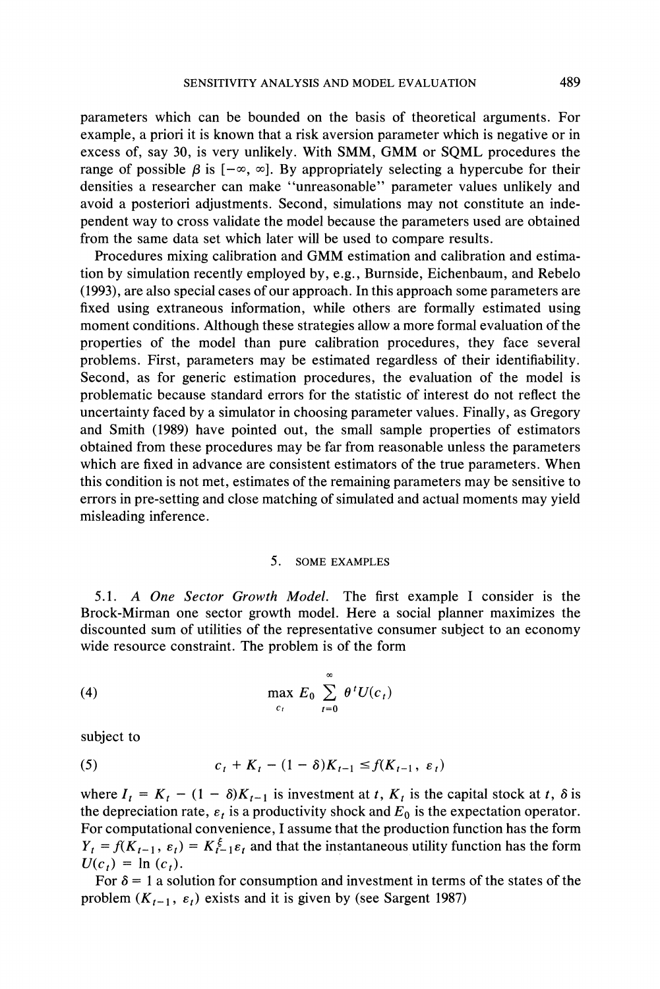**parameters which can be bounded on the basis of theoretical arguments. For example, a priori it is known that a risk aversion parameter which is negative or in excess of, say 30, is very unlikely. With SMM, GMM or SQML procedures the range of possible**  $\beta$  **is**  $[-\infty, \infty]$ **. By appropriately selecting a hypercube for their densities a researcher can make "unreasonable" parameter values unlikely and avoid a posteriori adjustments. Second, simulations may not constitute an independent way to cross validate the model because the parameters used are obtained from the same data set which later will be used to compare results.** 

**Procedures mixing calibration and GMM estimation and calibration and estimation by simulation recently employed by, e.g., Burnside, Eichenbaum, and Rebelo (1993), are also special cases of our approach. In this approach some parameters are fixed using extraneous information, while others are formally estimated using moment conditions. Although these strategies allow a more formal evaluation of the properties of the model than pure calibration procedures, they face several problems. First, parameters may be estimated regardless of their identifiability. Second, as for generic estimation procedures, the evaluation of the model is problematic because standard errors for the statistic of interest do not reflect the uncertainty faced by a simulator in choosing parameter values. Finally, as Gregory and Smith (1989) have pointed out, the small sample properties of estimators obtained from these procedures may be far from reasonable unless the parameters which are fixed in advance are consistent estimators of the true parameters. When this condition is not met, estimates of the remaining parameters may be sensitive to errors in pre-setting and close matching of simulated and actual moments may yield misleading inference.** 

#### **5. SOME EXAMPLES**

**5.1. A One Sector Growth Model. The first example I consider is the Brock-Mirman one sector growth model. Here a social planner maximizes the discounted sum of utilities of the representative consumer subject to an economy wide resource constraint. The problem is of the form** 

(4) 
$$
\max_{c_t} E_0 \sum_{t=0}^{\infty} \theta^t U(c_t)
$$

**subject to** 

(5) 
$$
c_t + K_t - (1 - \delta)K_{t-1} \leq f(K_{t-1}, \varepsilon_t)
$$

where  $I_t = K_t - (1 - \delta)K_{t-1}$  is investment at *t*,  $K_t$  is the capital stock at *t*,  $\delta$  is the depreciation rate,  $\varepsilon_t$  is a productivity shock and  $E_0$  is the expectation operator. **For computational convenience, I assume that the production function has the form**   $Y_t = f(K_{t-1}, \varepsilon_t) = K_{t-1}^{\xi} \varepsilon_t$  and that the instantaneous utility function has the form  $U(c_t) = \ln(c_t)$ .

For  $\delta = 1$  a solution for consumption and investment in terms of the states of the problem  $(K_{t-1}, \varepsilon_t)$  exists and it is given by (see Sargent 1987)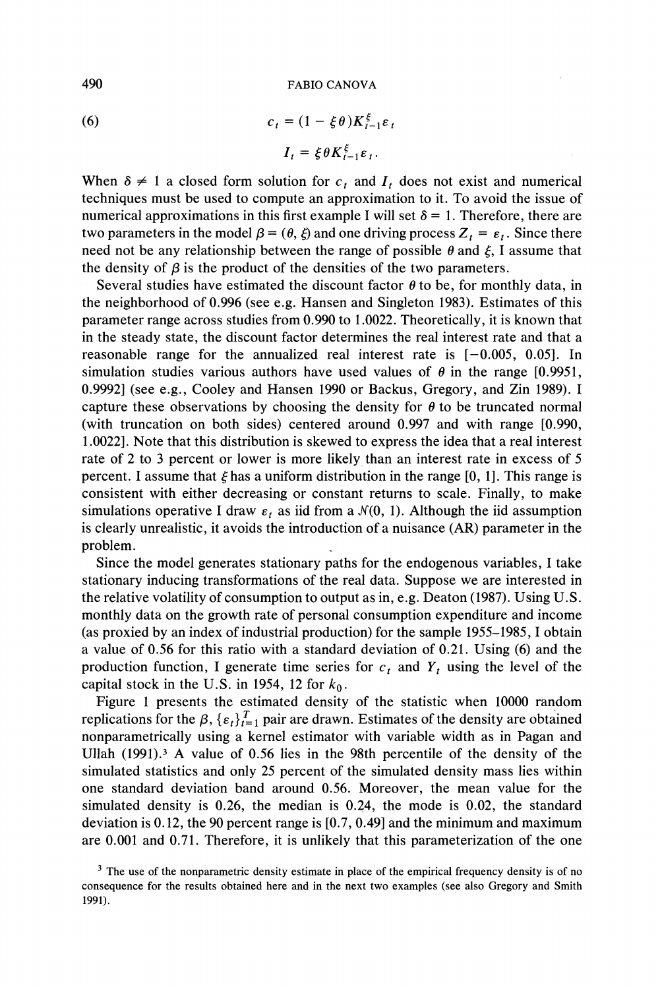(6) 
$$
c_t = (1 - \xi \theta) K_{t-1}^{\xi} \varepsilon_t
$$

$$
I_t = \xi \theta K_{t-1}^s \varepsilon_t.
$$

When  $\delta \neq 1$  a closed form solution for  $c_t$  and  $I_t$  does not exist and numerical **techniques must be used to compute an approximation to it. To avoid the issue of numerical approximations in this first example I will set**  $\delta = 1$ **. Therefore, there are** two parameters in the model  $\beta = (\theta, \xi)$  and one driving process  $Z_t = \varepsilon_t$ . Since there need not be any relationship between the range of possible  $\theta$  and  $\xi$ , I assume that the density of  $\beta$  is the product of the densities of the two parameters.

Several studies have estimated the discount factor  $\theta$  to be, for monthly data, in **the neighborhood of 0.996 (see e.g. Hansen and Singleton 1983). Estimates of this parameter range across studies from 0.990 to 1.0022. Theoretically, it is known that in the steady state, the discount factor determines the real interest rate and that a reasonable range for the annualized real interest rate is [-0.005, 0.05]. In**  simulation studies various authors have used values of  $\theta$  in the range [0.9951, **0.9992] (see e.g., Cooley and Hansen 1990 or Backus, Gregory, and Zin 1989). I**  capture these observations by choosing the density for  $\theta$  to be truncated normal **(with truncation on both sides) centered around 0.997 and with range [0.990, 1.0022]. Note that this distribution is skewed to express the idea that a real interest rate of 2 to 3 percent or lower is more likely than an interest rate in excess of 5 percent.** I assume that  $\xi$  has a uniform distribution in the range  $[0, 1]$ . This range is **consistent with either decreasing or constant returns to scale. Finally, to make**  simulations operative I draw  $\varepsilon_t$  as iid from a  $\mathcal{N}(0, 1)$ . Although the iid assumption **is clearly unrealistic, it avoids the introduction of a nuisance (AR) parameter in the problem.** 

**Since the model generates stationary paths for the endogenous variables, I take stationary inducing transformations of the real data. Suppose we are interested in the relative volatility of consumption to output as in, e.g. Deaton (1987). Using U.S. monthly data on the growth rate of personal consumption expenditure and income (as proxied by an index of industrial production) for the sample 1955-1985, I obtain a value of 0.56 for this ratio with a standard deviation of 0.21. Using (6) and the**  production function, I generate time series for  $c_t$  and  $Y_t$  using the level of the capital stock in the U.S. in 1954, 12 for  $k_0$ .

**Figure 1 presents the estimated density of the statistic when 10000 random**  replications for the  $\beta$ ,  $\{\varepsilon_t\}_{t=1}^T$  pair are drawn. Estimates of the density are obtained **nonparametrically using a kernel estimator with variable width as in Pagan and Ullah (1991).3 A value of 0.56 lies in the 98th percentile of the density of the simulated statistics and only 25 percent of the simulated density mass lies within one standard deviation band around 0.56. Moreover, the mean value for the simulated density is 0.26, the median is 0.24, the mode is 0.02, the standard deviation is 0.12, the 90 percent range is [0.7, 0.49] and the minimum and maximum are 0.001 and 0.71. Therefore, it is unlikely that this parameterization of the one** 

<sup>&</sup>lt;sup>3</sup> The use of the nonparametric density estimate in place of the empirical frequency density is of no **consequence for the results obtained here and in the next two examples (see also Gregory and Smith 1991).**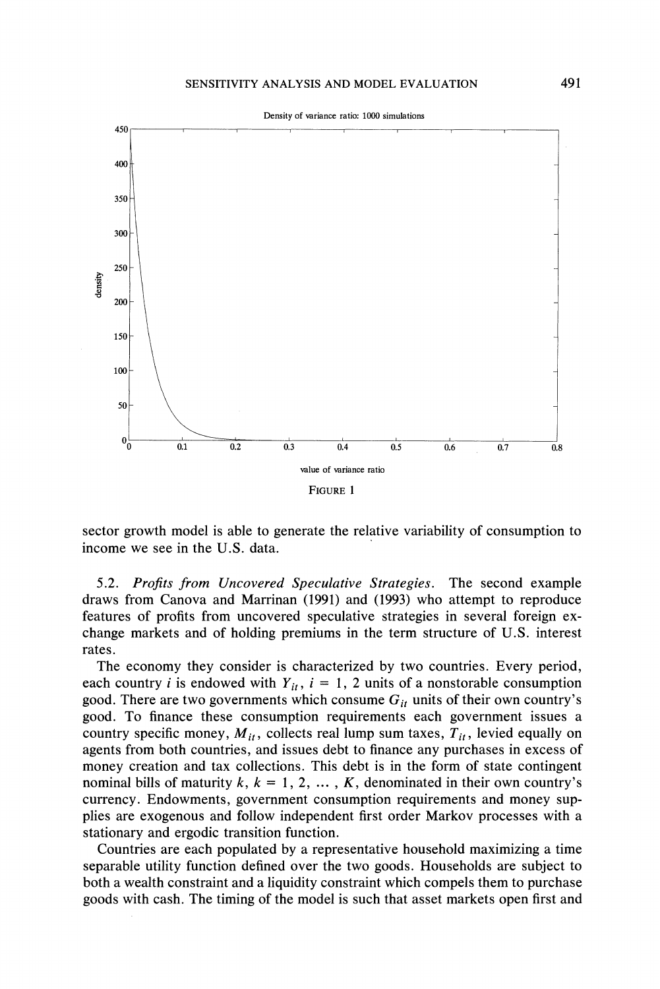# **SENSITIVITY ANALYSIS AND MODEL EVALUATION 491**



**sector growth model is able to generate the relative variability of consumption to income we see in the U.S. data.** 

**5.2. Profits from Uncovered Speculative Strategies. The second example draws from Canova and Marrinan (1991) and (1993) who attempt to reproduce features of profits from uncovered speculative strategies in several foreign exchange markets and of holding premiums in the term structure of U.S. interest rates.** 

**The economy they consider is characterized by two countries. Every period,**  each country *i* is endowed with  $Y_{it}$ ,  $i = 1, 2$  units of a nonstorable consumption good. There are two governments which consume  $G_{it}$  units of their own country's **good. To finance these consumption requirements each government issues a**  country specific money,  $M_{it}$ , collects real lump sum taxes,  $T_{it}$ , levied equally on **agents from both countries, and issues debt to finance any purchases in excess of money creation and tax collections. This debt is in the form of state contingent**  nominal bills of maturity  $k, k = 1, 2, ..., K$ , denominated in their own country's **currency. Endowments, government consumption requirements and money supplies are exogenous and follow independent first order Markov processes with a stationary and ergodic transition function.** 

**Countries are each populated by a representative household maximizing a time separable utility function defined over the two goods. Households are subject to both a wealth constraint and a liquidity constraint which compels them to purchase goods with cash. The timing of the model is such that asset markets open first and**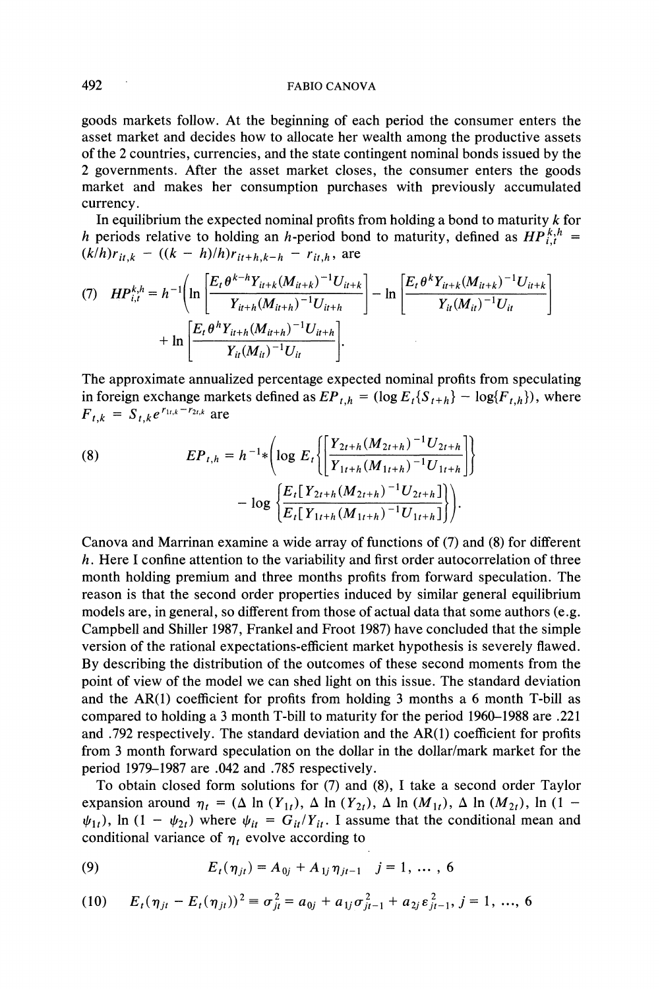**goods markets follow. At the beginning of each period the consumer enters the asset market and decides how to allocate her wealth among the productive assets of the 2 countries, currencies, and the state contingent nominal bonds issued by the 2 governments. After the asset market closes, the consumer enters the goods market and makes her consumption purchases with previously accumulated currency.** 

**In equilibrium the expected nominal profits from holding a bond to maturity k for**  h periods relative to holding an h-period bond to maturity, defined as  $HP_{i,t}^{k,h}$  =  $(k/h)r_{it,k}$  –  $((k-h)/h)r_{it+h,k-h}$  –  $r_{it,h}$ , are

$$
(7) \quad HP_{i,t}^{k,h} = h^{-1} \left( \ln \left[ \frac{E_t \theta^{k-h} Y_{i t+k} (M_{i t+k})^{-1} U_{i t+k}}{Y_{i t+h} (M_{i t+h})^{-1} U_{i t+h}} \right] - \ln \left[ \frac{E_t \theta^k Y_{i t+k} (M_{i t+k})^{-1} U_{i t+k}}{Y_{i t} (M_{i t})^{-1} U_{i t}} \right] + \ln \left[ \frac{E_t \theta^h Y_{i t+h} (M_{i t+h})^{-1} U_{i t+h}}{Y_{i t} (M_{i t})^{-1} U_{i t}} \right].
$$

**The approximate annualized percentage expected nominal profits from speculating**  in foreign exchange markets defined as  $EP_{t,h} = (\log E_t \{S_{t+h}\} - \log F_{t,h})$ , where  $F_{t,k} = S_{t,k} e^{r_{1t,k} - r_{2t,k}}$  are

(8) 
$$
EP_{t,h} = h^{-1} * \left( \log E_t \left\{ \left[ \frac{Y_{2t+h}(M_{2t+h})^{-1} U_{2t+h}}{Y_{1t+h}(M_{1t+h})^{-1} U_{1t+h}} \right] \right\} - \log \left\{ \frac{E_t [Y_{2t+h}(M_{2t+h})^{-1} U_{2t+h}]}{E_t [Y_{1t+h}(M_{1t+h})^{-1} U_{1t+h}]} \right\} \right).
$$

**Canova and Marrinan examine a wide array of functions of (7) and (8) for different h. Here I confine attention to the variability and first order autocorrelation of three month holding premium and three months profits from forward speculation. The reason is that the second order properties induced by similar general equilibrium models are, in general, so different from those of actual data that some authors (e.g. Campbell and Shiller 1987, Frankel and Froot 1987) have concluded that the simple version of the rational expectations-efficient market hypothesis is severely flawed. By describing the distribution of the outcomes of these second moments from the point of view of the model we can shed light on this issue. The standard deviation and the AR(1) coefficient for profits from holding 3 months a 6 month T-bill as compared to holding a 3 month T-bill to maturity for the period 1960-1988 are .221 and .792 respectively. The standard deviation and the AR(1) coefficient for profits from 3 month forward speculation on the dollar in the dollar/mark market for the period 1979-1987 are .042 and .785 respectively.** 

**To obtain closed form solutions for (7) and (8), I take a second order Taylor expansion around**  $\eta_t = (\Delta \ln(Y_{1t}), \Delta \ln(Y_{2t}), \Delta \ln(M_{1t}), \Delta \ln(M_{2t}), \ln(1 \psi_{1t}$ ),  $\ln (1 - \psi_{2t})$  where  $\psi_{it} = G_{it}/Y_{it}$ . I assume that the conditional mean and conditional variance of  $\eta_t$  evolve according to

(9) 
$$
E_t(\eta_{jt}) = A_{0j} + A_{1j} \eta_{jt-1} \quad j = 1, ..., 6
$$

(10) 
$$
E_t(\eta_{jt} - E_t(\eta_{jt}))^2 \equiv \sigma_{jt}^2 = a_{0j} + a_{1j}\sigma_{jt-1}^2 + a_{2j}\epsilon_{jt-1}^2, j = 1, ..., 6
$$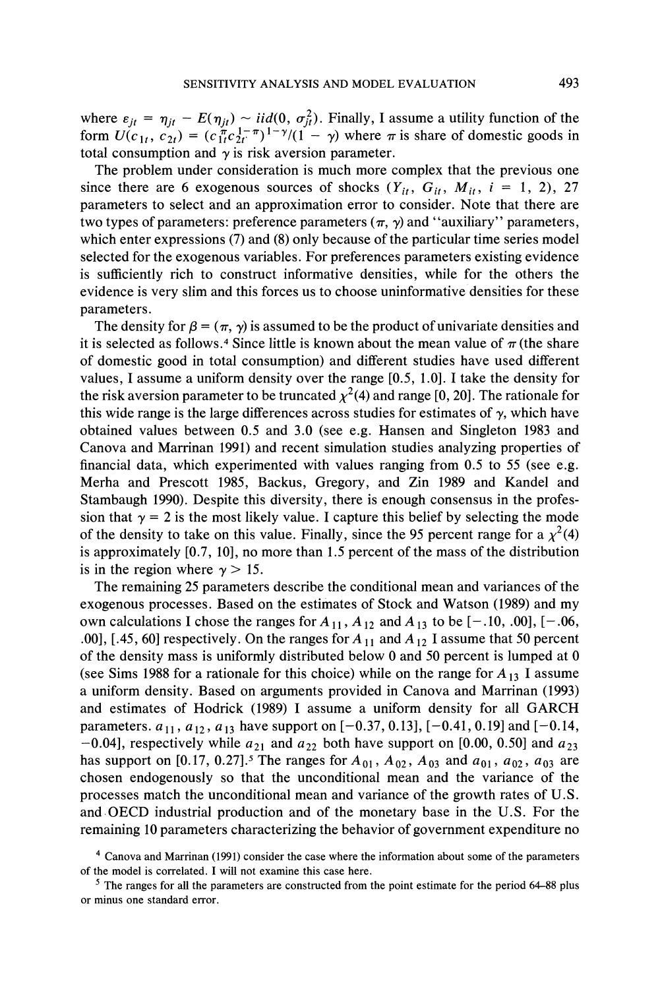where  $\varepsilon_{jt} = \eta_{jt} - E(\eta_{jt}) \sim \text{iid}(0, \sigma_{jt}^2)$ . Finally, I assume a utility function of the **form**  $U(c_{1t}, c_{2t}) = (c_{1t}^{\pi}c_{2t}^{1-\pi})^{1-\gamma}/(1-\gamma)$  where  $\pi$  is share of domestic goods in total consumption and  $\gamma$  is risk aversion parameter.

**The problem under consideration is much more complex that the previous one**  since there are 6 exogenous sources of shocks  $(Y_{it}, G_{it}, M_{it}, i = 1, 2)$ , 27 **parameters to select and an approximation error to consider. Note that there are**  two types of parameters: preference parameters  $(\pi, \gamma)$  and "auxiliary" parameters, **which enter expressions (7) and (8) only because of the particular time series model selected for the exogenous variables. For preferences parameters existing evidence is sufficiently rich to construct informative densities, while for the others the evidence is very slim and this forces us to choose uninformative densities for these parameters.** 

The density for  $\beta = (\pi, \gamma)$  is assumed to be the product of univariate densities and it is selected as follows.<sup>4</sup> Since little is known about the mean value of  $\pi$  (the share **of domestic good in total consumption) and different studies have used different values, I assume a uniform density over the range [0.5, 1.0]. I take the density for**  the risk aversion parameter to be truncated  $\chi^2(4)$  and range [0, 20]. The rationale for this wide range is the large differences across studies for estimates of  $\gamma$ , which have **obtained values between 0.5 and 3.0 (see e.g. Hansen and Singleton 1983 and Canova and Marrinan 1991) and recent simulation studies analyzing properties of financial data, which experimented with values ranging from 0.5 to 55 (see e.g. Merha and Prescott 1985, Backus, Gregory, and Zin 1989 and Kandel and Stambaugh 1990). Despite this diversity, there is enough consensus in the profes**sion that  $\gamma = 2$  is the most likely value. I capture this belief by selecting the mode of the density to take on this value. Finally, since the 95 percent range for a  $\chi^2(4)$ **is approximately [0.7, 10], no more than 1.5 percent of the mass of the distribution**  is in the region where  $\gamma > 15$ .

**The remaining 25 parameters describe the conditional mean and variances of the exogenous processes. Based on the estimates of Stock and Watson (1989) and my**  own calculations I chose the ranges for  $A_{11}$ ,  $A_{12}$  and  $A_{13}$  to be  $[-.10, .00]$ ,  $[-.06, .00]$ .00], [.45, 60] respectively. On the ranges for  $A_{11}$  and  $A_{12}$  I assume that 50 percent **of the density mass is uniformly distributed below 0 and 50 percent is lumped at 0**  (see Sims 1988 for a rationale for this choice) while on the range for  $A_{13}$  I assume **a uniform density. Based on arguments provided in Canova and Marrinan (1993) and estimates of Hodrick (1989) I assume a uniform density for all GARCH**  parameters.  $a_{11}$ ,  $a_{12}$ ,  $a_{13}$  have support on  $[-0.37, 0.13]$ ,  $[-0.41, 0.19]$  and  $[-0.14, 0.19]$  $-0.04$ ], respectively while  $a_{21}$  and  $a_{22}$  both have support on [0.00, 0.50] and  $a_{23}$ has support on [0.17, 0.27].<sup>5</sup> The ranges for  $A_{01}$ ,  $A_{02}$ ,  $A_{03}$  and  $a_{01}$ ,  $a_{02}$ ,  $a_{03}$  are **chosen endogenously so that the unconditional mean and the variance of the processes match the unconditional mean and variance of the growth rates of U.S. and OECD industrial production and of the monetary base in the U.S. For the remaining 10 parameters characterizing the behavior of government expenditure no** 

**<sup>4</sup>Canova and Marrinan (1991) consider the case where the information about some of the parameters of the model is correlated. I will not examine this case here.** 

**S The ranges for all the parameters are constructed from the point estimate for the period 64-88 plus or minus one standard error.**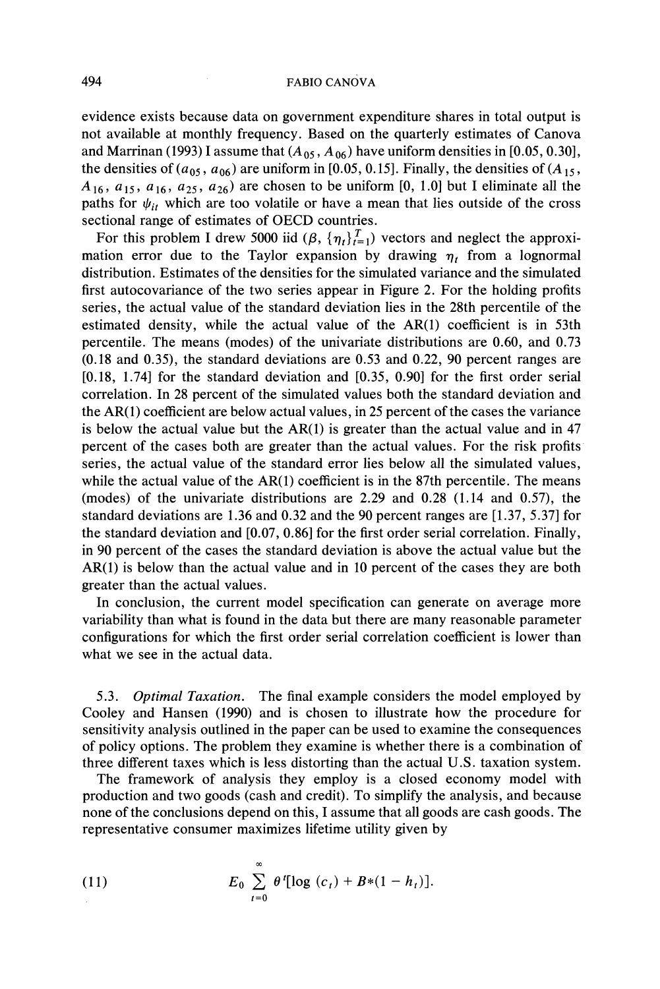**evidence exists because data on government expenditure shares in total output is not available at monthly frequency. Based on the quarterly estimates of Canova**  and Marrinan (1993) I assume that  $(A_{05}, A_{06})$  have uniform densities in [0.05, 0.30], the densities of  $(a_{05}, a_{06})$  are uniform in [0.05, 0.15]. Finally, the densities of  $(A_{15},$  $A_{16}$ ,  $a_{15}$ ,  $a_{16}$ ,  $a_{25}$ ,  $a_{26}$ ) are chosen to be uniform [0, 1.0] but I eliminate all the paths for  $\psi_{it}$  which are too volatile or have a mean that lies outside of the cross **sectional range of estimates of OECD countries.** 

For this problem I drew 5000 iid  $(\beta, \{\eta_t\}_{t=1}^T)$  vectors and neglect the approximation error due to the Taylor expansion by drawing  $\eta_t$  from a lognormal **distribution. Estimates of the densities for the simulated variance and the simulated first autocovariance of the two series appear in Figure 2. For the holding profits series, the actual value of the standard deviation lies in the 28th percentile of the estimated density, while the actual value of the AR(1) coefficient is in 53th percentile. The means (modes) of the univariate distributions are 0.60, and 0.73 (0.18 and 0.35), the standard deviations are 0.53 and 0.22, 90 percent ranges are [0.18, 1.74] for the standard deviation and [0.35, 0.90] for the first order serial correlation. In 28 percent of the simulated values both the standard deviation and the AR(1) coefficient are below actual values, in 25 percent of the cases the variance is below the actual value but the AR(1) is greater than the actual value and in 47 percent of the cases both are greater than the actual values. For the risk profits series, the actual value of the standard error lies below all the simulated values, while the actual value of the AR(1) coefficient is in the 87th percentile. The means (modes) of the univariate distributions are 2.29 and 0.28 (1.14 and 0.57), the standard deviations are 1.36 and 0.32 and the 90 percent ranges are [1.37, 5.37] for the standard deviation and [0.07, 0.86] for the first order serial correlation. Finally, in 90 percent of the cases the standard deviation is above the actual value but the AR(1) is below than the actual value and in 10 percent of the cases they are both greater than the actual values.** 

**In conclusion, the current model specification can generate on average more variability than what is found in the data but there are many reasonable parameter configurations for which the first order serial correlation coefficient is lower than what we see in the actual data.** 

**5.3. Optimal Taxation. The final example considers the model employed by Cooley and Hansen (1990) and is chosen to illustrate how the procedure for sensitivity analysis outlined in the paper can be used to examine the consequences of policy options. The problem they examine is whether there is a combination of three different taxes which is less distorting than the actual U.S. taxation system.** 

**The framework of analysis they employ is a closed economy model with production and two goods (cash and credit). To simplify the analysis, and because none of the conclusions depend on this, I assume that all goods are cash goods. The representative consumer maximizes lifetime utility given by** 

(11) 
$$
E_0 \sum_{t=0}^{\infty} \theta^t [\log (c_t) + B*(1-h_t)].
$$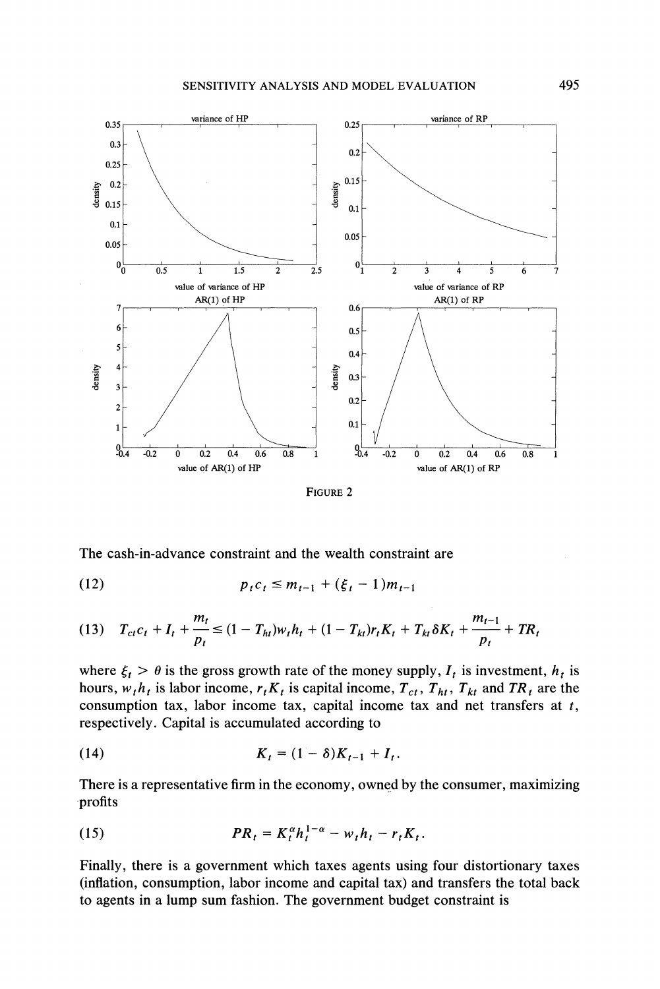

**The cash-in-advance constraint and the wealth constraint are** 

$$
(12) \t\t\t p_t c_t \le m_{t-1} + (\xi_t - 1)m_{t-1}
$$

$$
(13) \quad T_{ct}c_t + I_t + \frac{m_t}{p_t} \le (1 - T_{ht})w_t h_t + (1 - T_{kt})r_t K_t + T_{kt} \delta K_t + \frac{m_{t-1}}{p_t} + TR_t
$$

where  $\xi_t > \theta$  is the gross growth rate of the money supply,  $I_t$  is investment,  $h_t$  is hours,  $w_t h_t$  is labor income,  $r_t K_t$  is capital income,  $T_{ct}$ ,  $T_{ht}$ ,  $T_{kt}$  and  $TR_t$  are the **consumption tax, labor income tax, capital income tax and net transfers at t, respectively. Capital is accumulated according to** 

(14) 
$$
K_t = (1 - \delta)K_{t-1} + I_t.
$$

**There is a representative firm in the economy, owned by the consumer, maximizing -profits** 

$$
(15) \hspace{1cm} PR_t = K_t^{\alpha} h_t^{1-\alpha} - w_t h_t - r_t K_t.
$$

**Finally, there is a government which taxes agents using four distortionary taxes (inflation, consumption, labor income and capital tax) and transfers the total back to agents in a lump sum fashion. The government budget constraint is**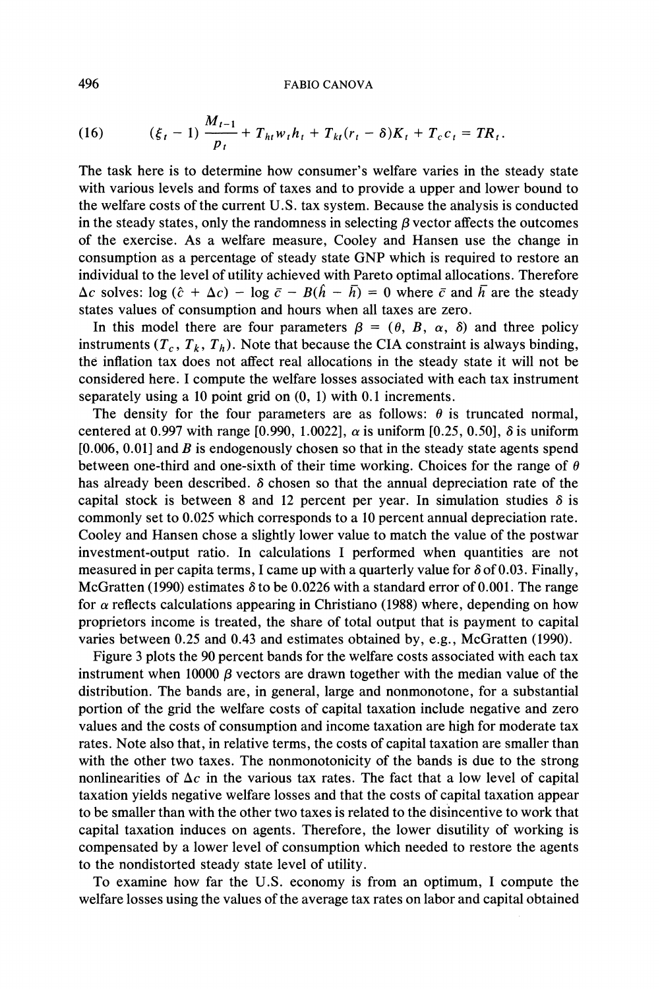(16) 
$$
(\xi_t - 1) \frac{M_{t-1}}{p_t} + T_{ht} w_t h_t + T_{kt} (r_t - \delta) K_t + T_c c_t = T R_t.
$$

**The task here is to determine how consumer's welfare varies in the steady state with various levels and forms of taxes and to provide a upper and lower bound to the welfare costs of the current U.S. tax system. Because the analysis is conducted**  in the steady states, only the randomness in selecting  $\beta$  vector affects the outcomes **of the exercise. As a welfare measure, Cooley and Hansen use the change in consumption as a percentage of steady state GNP which is required to restore an individual to the level of utility achieved with Pareto optimal allocations. Therefore**   $\Delta c$  solves: log  $(\hat{c} + \Delta c) - \log \bar{c} - B(\hat{h} - \bar{h}) = 0$  where  $\bar{c}$  and  $\bar{h}$  are the steady **states values of consumption and hours when all taxes are zero.** 

In this model there are four parameters  $\beta = (\theta, B, \alpha, \delta)$  and three policy instruments  $(T_c, T_k, T_h)$ . Note that because the CIA constraint is always binding, **the inflation tax does not affect real allocations in the steady state it will not be considered here. I compute the welfare losses associated with each tax instrument separately using a 10 point grid on (0, 1) with 0.1 increments.** 

The density for the four parameters are as follows:  $\theta$  is truncated normal, **centered at 0.997 with range [0.990, 1.0022], a is uniform [0.25, 0.50], 8 is uniform [0.006, 0.01] and B is endogenously chosen so that in the steady state agents spend between one-third and one-sixth of their time working. Choices for the range of**  $\theta$ **has already been described. 8 chosen so that the annual depreciation rate of the**  capital stock is between 8 and 12 percent per year. In simulation studies  $\delta$  is **commonly set to 0.025 which corresponds to a 10 percent annual depreciation rate. Cooley and Hansen chose a slightly lower value to match the value of the postwar investment-output ratio. In calculations I performed when quantities are not measured in per capita terms, I came up with a quarterly value for**  $\delta$  **of 0.03. Finally, McGratten (1990) estimates 8 to be 0.0226 with a standard error of 0.001. The range for a reflects calculations appearing in Christiano (1988) where, depending on how proprietors income is treated, the share of total output that is payment to capital varies between 0.25 and 0.43 and estimates obtained by, e.g., McGratten (1990).** 

**Figure 3 plots the 90 percent bands for the welfare costs associated with each tax instrument when 10000**  $\beta$  **vectors are drawn together with the median value of the distribution. The bands are, in general, large and nonmonotone, for a substantial portion of the grid the welfare costs of capital taxation include negative and zero values and the costs of consumption and income taxation are high for moderate tax rates. Note also that, in relative terms, the costs of capital taxation are smaller than with the other two taxes. The nonmonotonicity of the bands is due to the strong nonlinearities of**  $\Delta c$  **in the various tax rates. The fact that a low level of capital taxation yields negative welfare losses and that the costs of capital taxation appear to be smaller than with the other two taxes is related to the disincentive to work that capital taxation induces on agents. Therefore, the lower disutility of working is compensated by a lower level of consumption which needed to restore the agents to the nondistorted steady state level of utility.** 

**To examine how far the U.S. economy is from an optimum, I compute the welfare losses using the values of the average tax rates on labor and capital obtained**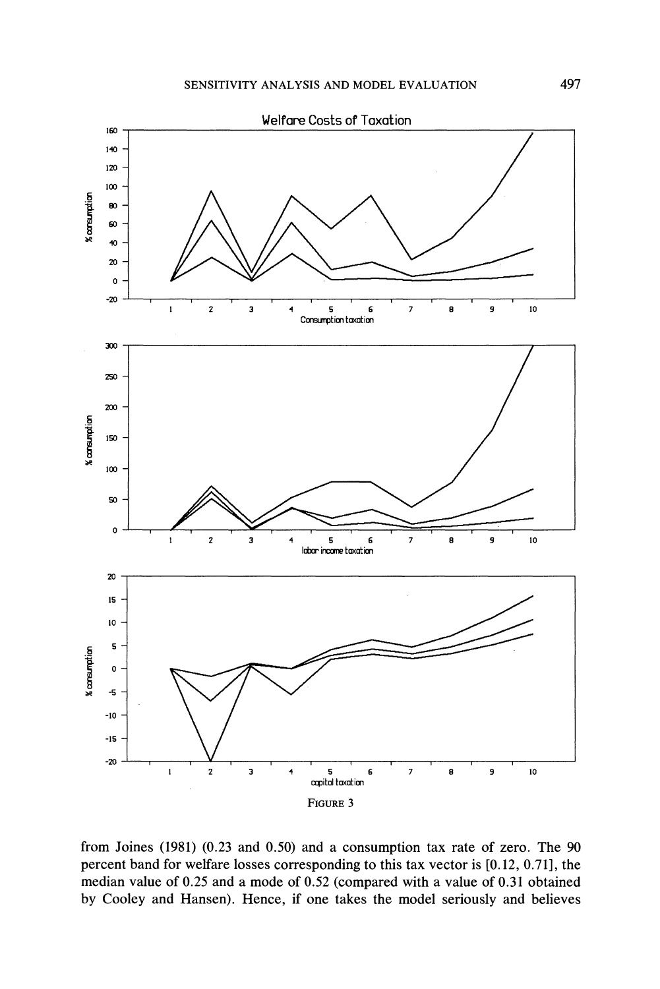

**from Joines (1981) (0.23 and 0.50) and a consumption tax rate of zero. The 90 percent band for welfare losses corresponding to this tax vector is [0.12, 0.71], the median value of 0.25 and a mode of 0.52 (compared with a value of 0.31 obtained by Cooley and Hansen). Hence, if one takes the model seriously and believes**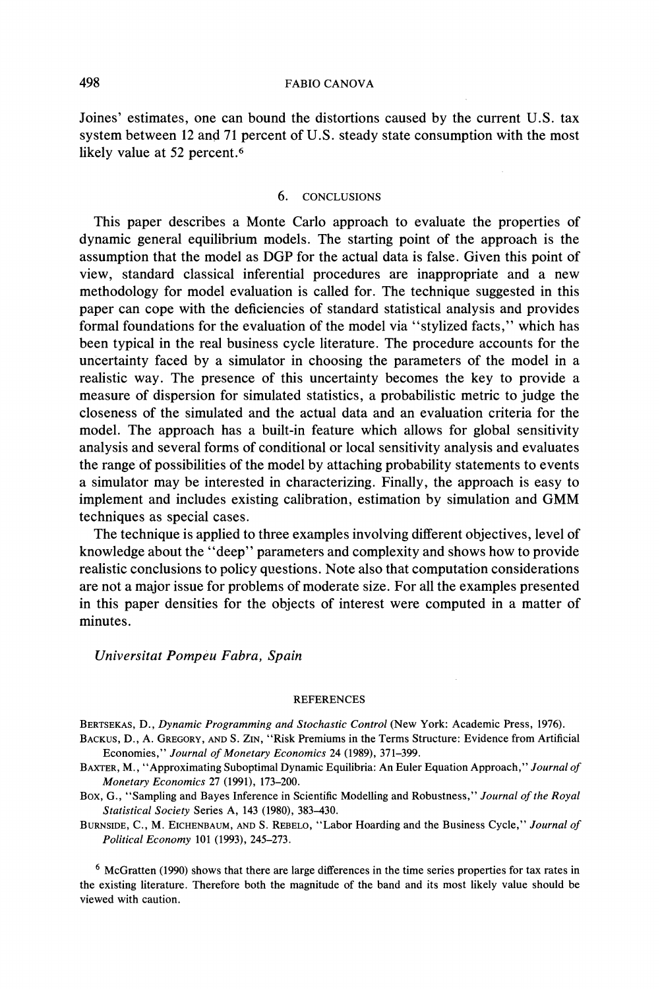**Joines' estimates, one can bound the distortions caused by the current U.S. tax system between 12 and 71 percent of U.S. steady state consumption with the most likely value at 52 percent.6** 

### **6. CONCLUSIONS**

**This paper describes a Monte Carlo approach to evaluate the properties of dynamic general equilibrium models. The starting point of the approach is the assumption that the model as DGP for the actual data is false. Given this point of view, standard classical inferential procedures are inappropriate and a new methodology for model evaluation is called for. The technique suggested in this paper can cope with the deficiencies of standard statistical analysis and provides formal foundations for the evaluation of the model via "stylized facts," which has been typical in the real business cycle literature. The procedure accounts for the uncertainty faced by a simulator in choosing the parameters of the model in a realistic way. The presence of this uncertainty becomes the key to provide a measure of dispersion for simulated statistics, a probabilistic metric to judge the closeness of the simulated and the actual data and an evaluation criteria for the model. The approach has a built-in feature which allows for global sensitivity analysis and several forms of conditional or local sensitivity analysis and evaluates the range of possibilities of the model by attaching probability statements to events a simulator may be interested in characterizing. Finally, the approach is easy to implement and includes existing calibration, estimation by simulation and GMM techniques as special cases.** 

**The technique is applied to three examples involving different objectives, level of knowledge about the "deep" parameters and complexity and shows how to provide realistic conclusions to policy questions. Note also that computation considerations are not a major issue for problems of moderate size. For all the examples presented in this paper densities for the objects of interest were computed in a matter of minutes.** 

# **Universitat Pompeu Fabra, Spain**

#### **REFERENCES**

**BERTSEKAS, D., Dynamic Programming and Stochastic Control (New York: Academic Press, 1976).** 

- **BACKUS, D., A. GREGORY, AND S. ZIN, "Risk Premiums in the Terms Structure: Evidence from Artificial Economies," Journal of Monetary Economics 24 (1989), 371-399.**
- **BAXTER, M., "Approximating Suboptimal Dynamic Equilibria: An Euler Equation Approach," Journal of Monetary Economics 27 (1991), 173-200.**
- **Box, G., "Sampling and Bayes Inference in Scientific Modelling and Robustness," Journal of the Royal Statistical Society Series A, 143 (1980), 383-430.**
- **BURNSIDE, C., M. EICHENBAUM, AND S. REBELO, "Labor Hoarding and the Business Cycle," Journal of Political Economy 101 (1993), 245-273.**

**<sup>6</sup>McGratten (1990) shows that there are large differences in the time series properties for tax rates in the existing literature. Therefore both the magnitude of the band and its most likely value should be viewed with caution.**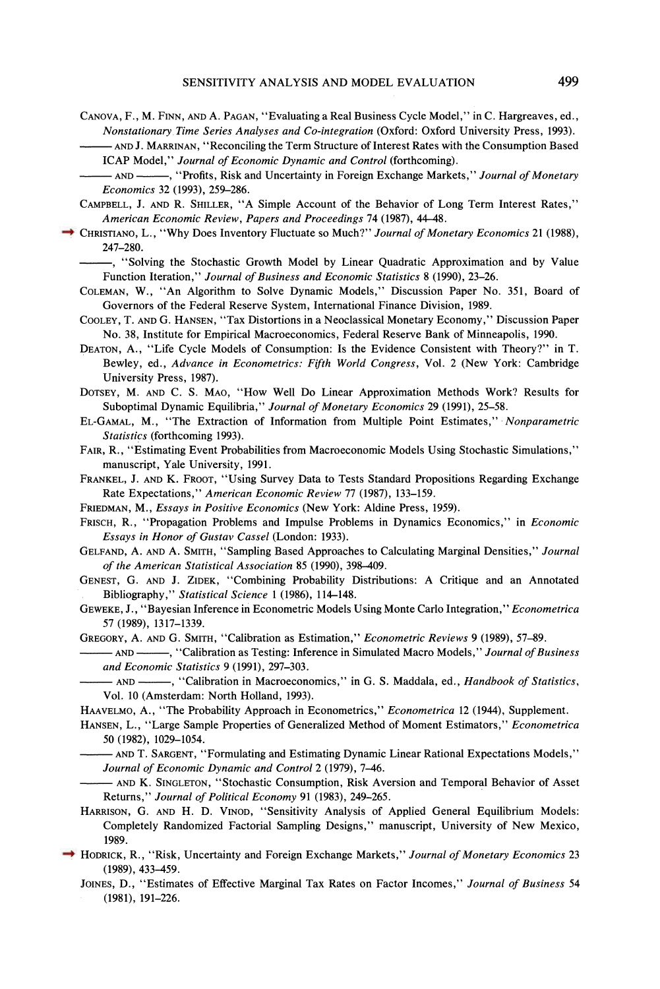**CANOVA, F., M. FINN, AND A. PAGAN, "Evaluating a Real Business Cycle Model," in C. Hargreaves, ed., Nonstationary. Time Series Analyses and Co-integration (Oxford: Oxford University Press, 1993).** 

**AND J. MARRINAN, "Reconciling the Term Structure of Interest Rates with the Consumption Based ICAP Model," Journal of Economic Dynamic and Control (forthcoming).** 

**AND , "Profits, Risk and Uncertainty in Foreign Exchange Markets," Journal of Monetary Economics 32 (1993), 259-286.** 

**CAMPBELL, J. AND R. SHILLER, "A Simple Account of the Behavior of Long Term Interest Rates," American Economic Review, Papers and Proceedings 74 (1987), 44-48.** 

**CHRISTIANO, L., "Why Does Inventory Fluctuate so Much?" Journal of Monetary Economics 21 (1988), 247-280.** 

**, "Solving the Stochastic Growth Model by Linear Quadratic Approximation and by Value Function Iteration," Journal of Business and Economic Statistics 8 (1990), 23-26.** 

- **COLEMAN, W., "An Algorithm to Solve Dynamic Models," Discussion Paper No. 351, Board of Governors of the Federal Reserve System, International Finance Division, 1989.**
- **COOLEY, T. AND G. HANSEN, "Tax Distortions in a Neoclassical Monetary Economy," Discussion Paper No. 38, Institute for Empirical Macroeconomics, Federal Reserve Bank of Minneapolis, 1990.**
- **DEATON, A., "Life Cycle Models of Consumption: Is the Evidence Consistent with Theory?" in T. Bewley, ed., Advance in Econometrics: Fifth World Congress, Vol. 2 (New York: Cambridge University Press, 1987).**
- **DOTSEY, M. AND C. S. MAO, "How Well Do Linear Approximation Methods Work? Results for Suboptimal Dynamic Equilibria," Journal of Monetary Economics 29 (1991), 25-58.**

**EL-GAMAL, M., "The Extraction of Information from Multiple Point Estimates," Nonparametric Statistics (forthcoming 1993).** 

**FAIR, R., "Estimating Event Probabilities from Macroeconomic Models Using Stochastic Simulations," manuscript, Yale University, 1991.** 

**FRANKEL, J. AND K. FROOT, "Using Survey Data to Tests Standard Propositions Regarding Exchange Rate Expectations," American Economic Review 77 (1987), 133-159.** 

**FRIEDMAN, M., Essays in Positive Economics (New York: Aldine Press, 1959).** 

**FRISCH, R., "Propagation Problems and Impulse Problems in Dynamics Economics," in Economic Essays in Honor of Gustav Cassel (London: 1933).** 

**GELFAND, A. AND A. SMITH, "Sampling Based Approaches to Calculating Marginal Densities," Journal of the American Statistical Association 85 (1990), 398-409.** 

**GENEST, G. AND J. ZIDEK, "Combining Probability Distributions: A Critique and an Annotated Bibliography," Statistical Science 1 (1986), 114-148.** 

**GEWEKE, J., "Bayesian Inference in Econometric Models Using Monte Carlo Integration," Econometrica 57 (1989), 1317-1339.** 

**GREGORY, A. AND G. SMITH, "Calibration as Estimation," Econometric Reviews 9 (1989), 57-89.** 

**AND , "Calibration as Testing: Inference in Simulated Macro Models," Journal of Business and Economic Statistics 9 (1991), 297-303.** 

AND ——, "Calibration in Macroeconomics," in G. S. Maddala, ed., *Handbook of Statistics*, **Vol. 10 (Amsterdam: North Holland, 1993).** 

**HAAVELMO, A., "The Probability Approach in Econometrics," Econometrica 12 (1944), Supplement.** 

- **HANSEN, L., "Large Sample Properties of Generalized Method of Moment Estimators," Econometrica 50 (1982), 1029-1054.**
- **AND T. SARGENT, "Formulating and Estimating Dynamic Linear Rational Expectations Models," Journal of Economic Dynamic and Control 2 (1979), 7-46.**

**AND K. SINGLETON, "Stochastic Consumption, Risk Aversion and Temporal Behavior of Asset Returns," Journal of Political Economy 91 (1983), 249-265.** 

**HARRISON, G. AND H. D. VINOD, "Sensitivity Analysis of Applied General Equilibrium Models: Completely Randomized Factorial Sampling Designs," manuscript, University of New Mexico, 1989.** 

**HODRICK, R., "Risk, Uncertainty and Foreign Exchange Markets," Journal of Monetary Economics 23 (1989), 433-459.** 

**JOINES, D., "Estimates of Effective Marginal Tax Rates on Factor Incomes," Journal of Business 54 (1981), 191-226.**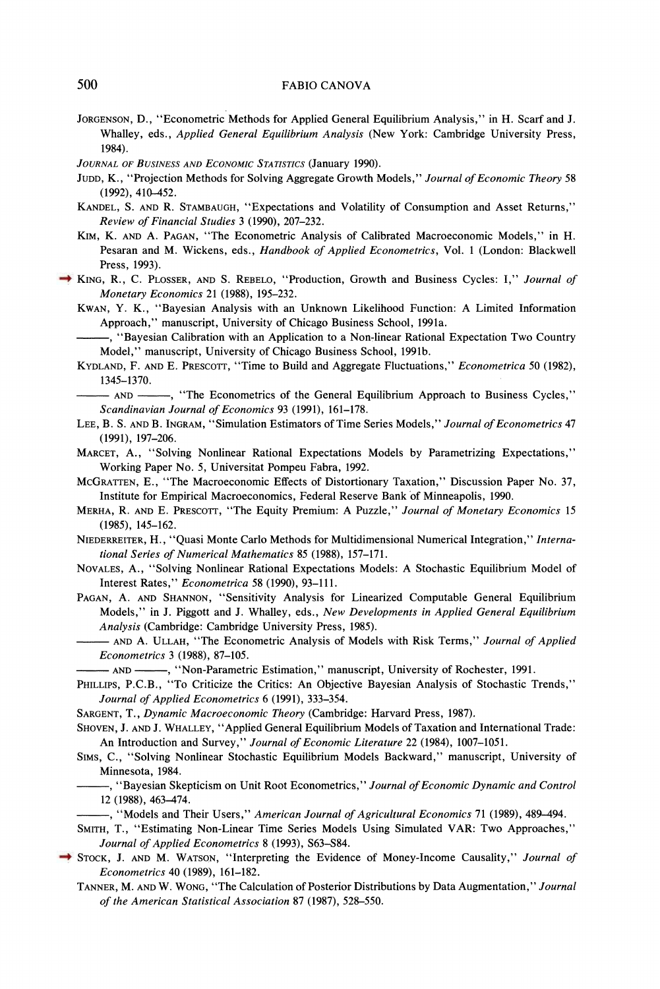**JORGENSON, D., "Econometric Methods for Applied General Equilibrium Analysis," in H. Scarf and J. Whalley, eds., Applied General Equilibrium Analysis (New York: Cambridge University Press, 1984).** 

**JOURNAL OF BUSINESS AND ECONOMIC STATISTICS (January 1990).** 

**JUDD, K., "Projection Methods for Solving Aggregate Growth Models," Journal of Economic Theory 58 (1992), 410-452.** 

**KANDEL, S. AND R. STAMBAUGH, "Expectations and Volatility of Consumption and Asset Returns," Review of Financial Studies 3 (1990), 207-232.** 

**KIM, K. AND A. PAGAN, "The Econometric Analysis of Calibrated Macroeconomic Models," in H.**  Pesaran and M. Wickens, eds., *Handbook of Applied Econometrics*, Vol. 1 (London: Blackwell **Press, 1993).** 

**KING, R., C. PLOSSER, AND S. REBELO, "Production, Growth and Business Cycles: I," Journal of Monetary Economics 21 (1988), 195-232.** 

**KWAN, Y. K., "Bayesian Analysis with an Unknown Likelihood Function: A Limited Information Approach," manuscript, University of Chicago Business School, 1991a.** 

**"Bayesian Calibration with an Application to a Non-linear Rational Expectation Two Country Model," manuscript, University of Chicago Business School, 1991b.** 

KYDLAND, F. AND E. PRESCOTT, "Time to Build and Aggregate Fluctuations," *Econometrica* 50 (1982), **1345-1370.** 

AND ——, "The Econometrics of the General Equilibrium Approach to Business Cycles," **Scandinavian Journal of Economics 93 (1991), 161-178.** 

**LEE, B. S. AND B. INGRAM, "Simulation Estimators of Time Series Models," Journal of Econometrics 47 (1991), 197-206.** 

**MARCET, A., "Solving Nonlinear Rational Expectations Models by Parametrizing Expectations," Working Paper No. 5, Universitat Pompeu Fabra, 1992.** 

**McGRATrEN, E., 'The Macroeconomic Effects of Distortionary Taxation," Discussion Paper No. 37,**  Institute for Empirical Macroeconomics, Federal Reserve Bank of Minneapolis, 1990.

**MERHA, R. AND E. PRESCOTT, "The Equity Premium: A Puzzle," Journal of Monetary Economics 15 (1985), 145-162.** 

**NIEDERREITER, H., "Quasi Monte Carlo Methods for Multidimensional Numerical Integration," International Series of Numerical Mathematics 85 (1988), 157-171.** 

**NOVALES, A., "Solving Nonlinear Rational Expectations Models: A Stochastic Equilibrium Model of Interest Rates," Econometrica 58 (1990), 93-111.** 

**PAGAN, A. AND SHANNON, "Sensitivity Analysis for Linearized Computable General Equilibrium Models," in J. Piggott and J. Whalley, eds., New Developments in Applied General Equilibrium Analysis (Cambridge: Cambridge University Press, 1985).** 

**AND A. ULLAH, "The Econometric Analysis of Models with Risk Terms," Journal of Applied Econometrics 3 (1988), 87-105.** 

**AND , "Non-Parametric Estimation," manuscript, University of Rochester, 1991.** 

**PHILLIPS, P.C.B., "To Criticize the Critics: An Objective Bayesian Analysis of Stochastic Trends," Journal of Applied Econometrics 6 (1991), 333-354.** 

**SARGENT, T., Dynamic Macroeconomic Theory (Cambridge: Harvard Press, 1987).** 

**SHOVEN, J. AND J. WHALLEY, "Applied General Equilibrium Models of Taxation and International Trade: An Introduction and Survey," Journal of Economic Literature 22 (1984), 1007-1051.** 

**SIMS, C., "Solving Nonlinear Stochastic Equilibrium Models Backward," manuscript, University of Minnesota, 1984.** 

-, "Bayesian Skepticism on Unit Root Econometrics," Journal of Economic Dynamic and Control **12 (1988), 463-474.** 

-, "Models and Their Users," American Journal of Agricultural Economics 71 (1989), 489-494.

**SMITH, T., "Estimating Non-Linear Time Series Models Using Simulated VAR: Two Approaches," Journal of Applied Econometrics 8 (1993), S63-S84.** 

**STOCK, J. AND M. WATSON, "Interpreting the Evidence of Money-Income Causality," Journal of Econometrics 40 (1989), 161-182.** 

**TANNER, M. AND W. WONG, "The Calculation of Posterior Distributions by Data Augmentation," Journal of the American Statistical Association 87 (1987), 528-550.**